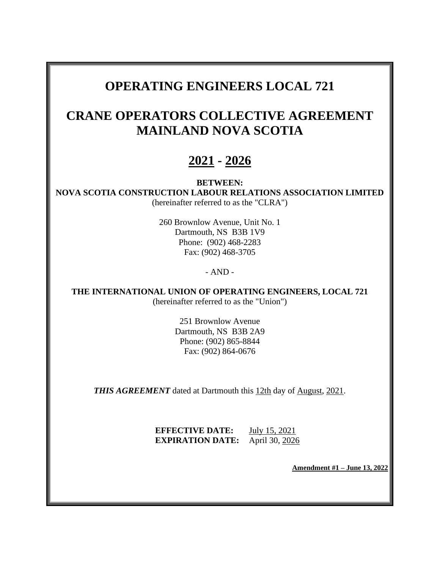# **OPERATING ENGINEERS LOCAL 721**

# **CRANE OPERATORS COLLECTIVE AGREEMENT MAINLAND NOVA SCOTIA**

# **2021 - 2026**

### **BETWEEN:**

**NOVA SCOTIA CONSTRUCTION LABOUR RELATIONS ASSOCIATION LIMITED** (hereinafter referred to as the "CLRA")

> 260 Brownlow Avenue, Unit No. 1 Dartmouth, NS B3B 1V9 Phone: (902) 468-2283 Fax: (902) 468-3705

## - AND -

**THE INTERNATIONAL UNION OF OPERATING ENGINEERS, LOCAL 721** (hereinafter referred to as the "Union")

> 251 Brownlow Avenue Dartmouth, NS B3B 2A9 Phone: (902) 865-8844 Fax: (902) 864-0676

**THIS AGREEMENT** dated at Dartmouth this 12th day of August, 2021.

**EFFECTIVE DATE:** July 15, 2021 **EXPIRATION DATE:** April 30, 2026

**Amendment #1 – June 13, 2022**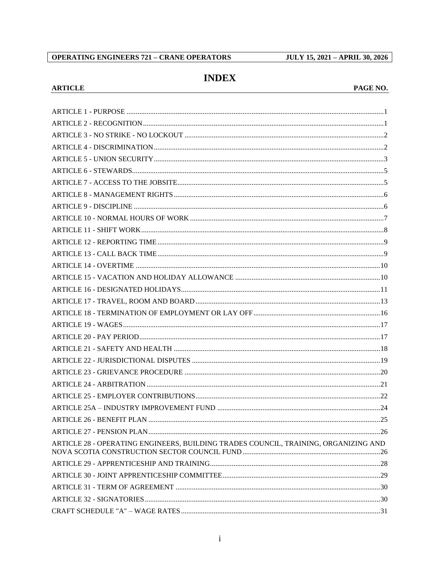#### **OPERATING ENGINEERS 721 - CRANE OPERATORS**

**ARTICLE** 

**JULY 15, 2021 - APRIL 30, 2026** 

## **INDEX**

#### PAGE NO.

| ARTICLE 28 - OPERATING ENGINEERS, BUILDING TRADES COUNCIL, TRAINING, ORGANIZING AND |  |
|-------------------------------------------------------------------------------------|--|
|                                                                                     |  |
|                                                                                     |  |
|                                                                                     |  |
|                                                                                     |  |
|                                                                                     |  |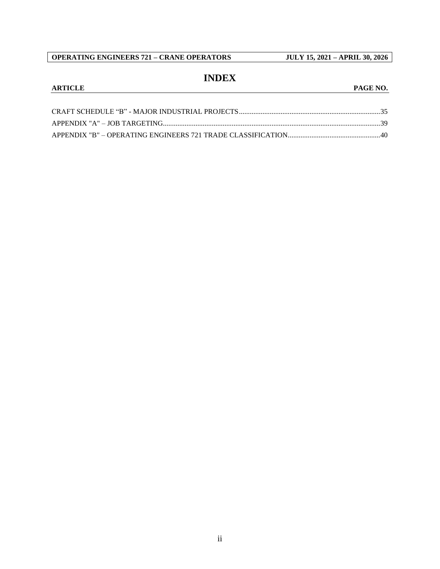## **INDEX**

#### **ARTICLE PAGE NO.**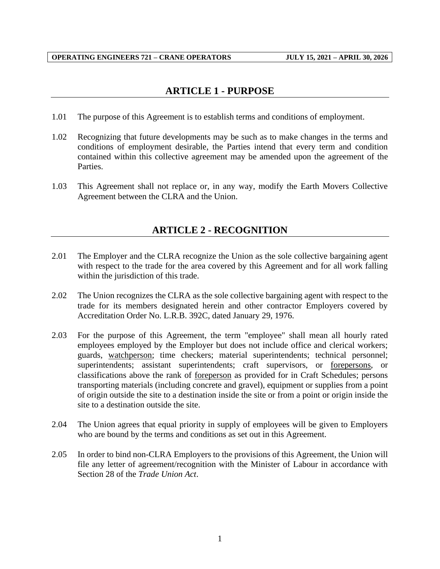## **ARTICLE 1 - PURPOSE**

- <span id="page-3-0"></span>1.01 The purpose of this Agreement is to establish terms and conditions of employment.
- 1.02 Recognizing that future developments may be such as to make changes in the terms and conditions of employment desirable, the Parties intend that every term and condition contained within this collective agreement may be amended upon the agreement of the Parties.
- <span id="page-3-1"></span>1.03 This Agreement shall not replace or, in any way, modify the Earth Movers Collective Agreement between the CLRA and the Union.

## **ARTICLE 2 - RECOGNITION**

- 2.01 The Employer and the CLRA recognize the Union as the sole collective bargaining agent with respect to the trade for the area covered by this Agreement and for all work falling within the jurisdiction of this trade.
- 2.02 The Union recognizes the CLRA as the sole collective bargaining agent with respect to the trade for its members designated herein and other contractor Employers covered by Accreditation Order No. L.R.B. 392C, dated January 29, 1976.
- 2.03 For the purpose of this Agreement, the term "employee" shall mean all hourly rated employees employed by the Employer but does not include office and clerical workers; guards, watchperson; time checkers; material superintendents; technical personnel; superintendents; assistant superintendents; craft supervisors, or forepersons, or classifications above the rank of foreperson as provided for in Craft Schedules; persons transporting materials (including concrete and gravel), equipment or supplies from a point of origin outside the site to a destination inside the site or from a point or origin inside the site to a destination outside the site.
- 2.04 The Union agrees that equal priority in supply of employees will be given to Employers who are bound by the terms and conditions as set out in this Agreement.
- 2.05 In order to bind non-CLRA Employers to the provisions of this Agreement, the Union will file any letter of agreement/recognition with the Minister of Labour in accordance with Section 28 of the *Trade Union Act*.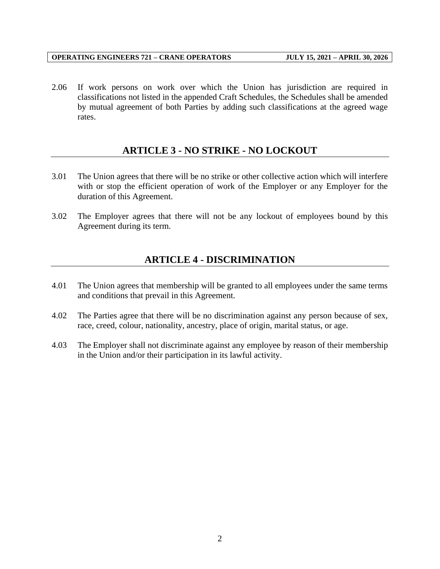2.06 If work persons on work over which the Union has jurisdiction are required in classifications not listed in the appended Craft Schedules, the Schedules shall be amended by mutual agreement of both Parties by adding such classifications at the agreed wage rates.

## **ARTICLE 3 - NO STRIKE - NO LOCKOUT**

- <span id="page-4-0"></span>3.01 The Union agrees that there will be no strike or other collective action which will interfere with or stop the efficient operation of work of the Employer or any Employer for the duration of this Agreement.
- <span id="page-4-1"></span>3.02 The Employer agrees that there will not be any lockout of employees bound by this Agreement during its term.

## **ARTICLE 4 - DISCRIMINATION**

- 4.01 The Union agrees that membership will be granted to all employees under the same terms and conditions that prevail in this Agreement.
- 4.02 The Parties agree that there will be no discrimination against any person because of sex, race, creed, colour, nationality, ancestry, place of origin, marital status, or age.
- 4.03 The Employer shall not discriminate against any employee by reason of their membership in the Union and/or their participation in its lawful activity.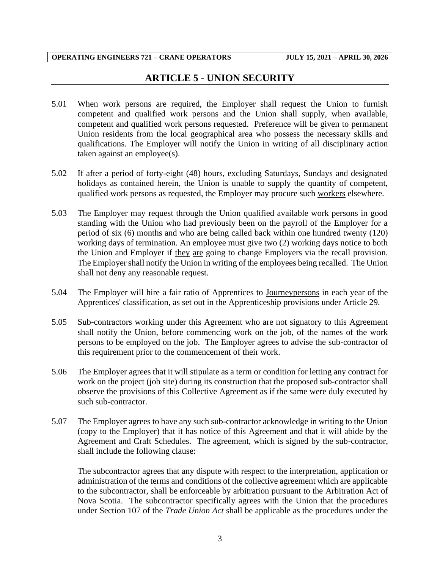## **ARTICLE 5 - UNION SECURITY**

- <span id="page-5-0"></span>5.01 When work persons are required, the Employer shall request the Union to furnish competent and qualified work persons and the Union shall supply, when available, competent and qualified work persons requested. Preference will be given to permanent Union residents from the local geographical area who possess the necessary skills and qualifications. The Employer will notify the Union in writing of all disciplinary action taken against an employee(s).
- 5.02 If after a period of forty-eight (48) hours, excluding Saturdays, Sundays and designated holidays as contained herein, the Union is unable to supply the quantity of competent, qualified work persons as requested, the Employer may procure such workers elsewhere.
- 5.03 The Employer may request through the Union qualified available work persons in good standing with the Union who had previously been on the payroll of the Employer for a period of six (6) months and who are being called back within one hundred twenty (120) working days of termination. An employee must give two (2) working days notice to both the Union and Employer if they are going to change Employers via the recall provision. The Employer shall notify the Union in writing of the employees being recalled. The Union shall not deny any reasonable request.
- 5.04 The Employer will hire a fair ratio of Apprentices to Journeypersons in each year of the Apprentices' classification, as set out in the Apprenticeship provisions under Article 29.
- 5.05 Sub-contractors working under this Agreement who are not signatory to this Agreement shall notify the Union, before commencing work on the job, of the names of the work persons to be employed on the job. The Employer agrees to advise the sub-contractor of this requirement prior to the commencement of their work.
- 5.06 The Employer agrees that it will stipulate as a term or condition for letting any contract for work on the project (job site) during its construction that the proposed sub-contractor shall observe the provisions of this Collective Agreement as if the same were duly executed by such sub-contractor.
- 5.07 The Employer agrees to have any such sub-contractor acknowledge in writing to the Union (copy to the Employer) that it has notice of this Agreement and that it will abide by the Agreement and Craft Schedules. The agreement, which is signed by the sub-contractor, shall include the following clause:

The subcontractor agrees that any dispute with respect to the interpretation, application or administration of the terms and conditions of the collective agreement which are applicable to the subcontractor, shall be enforceable by arbitration pursuant to the Arbitration Act of Nova Scotia. The subcontractor specifically agrees with the Union that the procedures under Section 107 of the *Trade Union Act* shall be applicable as the procedures under the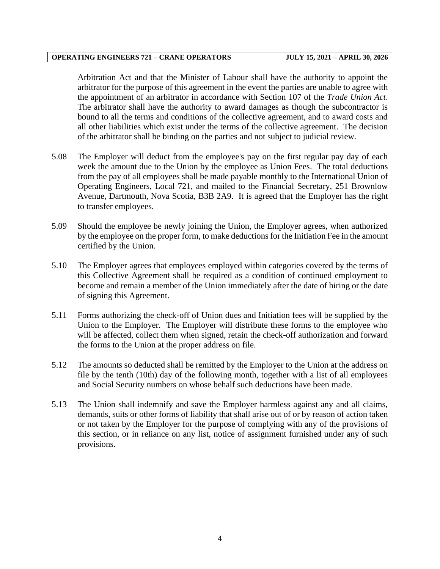Arbitration Act and that the Minister of Labour shall have the authority to appoint the arbitrator for the purpose of this agreement in the event the parties are unable to agree with the appointment of an arbitrator in accordance with Section 107 of the *Trade Union Act*. The arbitrator shall have the authority to award damages as though the subcontractor is bound to all the terms and conditions of the collective agreement, and to award costs and all other liabilities which exist under the terms of the collective agreement. The decision of the arbitrator shall be binding on the parties and not subject to judicial review.

- 5.08 The Employer will deduct from the employee's pay on the first regular pay day of each week the amount due to the Union by the employee as Union Fees. The total deductions from the pay of all employees shall be made payable monthly to the International Union of Operating Engineers, Local 721, and mailed to the Financial Secretary, 251 Brownlow Avenue, Dartmouth, Nova Scotia, B3B 2A9. It is agreed that the Employer has the right to transfer employees.
- 5.09 Should the employee be newly joining the Union, the Employer agrees, when authorized by the employee on the proper form, to make deductions for the Initiation Fee in the amount certified by the Union.
- 5.10 The Employer agrees that employees employed within categories covered by the terms of this Collective Agreement shall be required as a condition of continued employment to become and remain a member of the Union immediately after the date of hiring or the date of signing this Agreement.
- 5.11 Forms authorizing the check-off of Union dues and Initiation fees will be supplied by the Union to the Employer. The Employer will distribute these forms to the employee who will be affected, collect them when signed, retain the check-off authorization and forward the forms to the Union at the proper address on file.
- 5.12 The amounts so deducted shall be remitted by the Employer to the Union at the address on file by the tenth (10th) day of the following month, together with a list of all employees and Social Security numbers on whose behalf such deductions have been made.
- 5.13 The Union shall indemnify and save the Employer harmless against any and all claims, demands, suits or other forms of liability that shall arise out of or by reason of action taken or not taken by the Employer for the purpose of complying with any of the provisions of this section, or in reliance on any list, notice of assignment furnished under any of such provisions.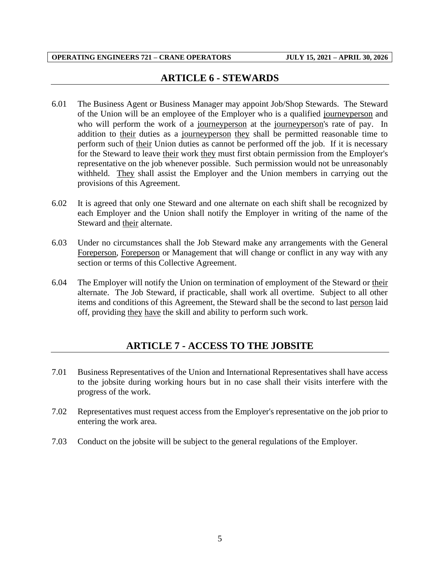## **ARTICLE 6 - STEWARDS**

- <span id="page-7-0"></span>6.01 The Business Agent or Business Manager may appoint Job/Shop Stewards. The Steward of the Union will be an employee of the Employer who is a qualified journeyperson and who will perform the work of a journeyperson at the journeyperson's rate of pay. In addition to their duties as a journeyperson they shall be permitted reasonable time to perform such of their Union duties as cannot be performed off the job. If it is necessary for the Steward to leave their work they must first obtain permission from the Employer's representative on the job whenever possible. Such permission would not be unreasonably withheld. They shall assist the Employer and the Union members in carrying out the provisions of this Agreement.
- 6.02 It is agreed that only one Steward and one alternate on each shift shall be recognized by each Employer and the Union shall notify the Employer in writing of the name of the Steward and their alternate.
- 6.03 Under no circumstances shall the Job Steward make any arrangements with the General Foreperson, Foreperson or Management that will change or conflict in any way with any section or terms of this Collective Agreement.
- 6.04 The Employer will notify the Union on termination of employment of the Steward or their alternate. The Job Steward, if practicable, shall work all overtime. Subject to all other items and conditions of this Agreement, the Steward shall be the second to last person laid off, providing they have the skill and ability to perform such work.

## **ARTICLE 7 - ACCESS TO THE JOBSITE**

- <span id="page-7-1"></span>7.01 Business Representatives of the Union and International Representatives shall have access to the jobsite during working hours but in no case shall their visits interfere with the progress of the work.
- 7.02 Representatives must request access from the Employer's representative on the job prior to entering the work area.
- 7.03 Conduct on the jobsite will be subject to the general regulations of the Employer.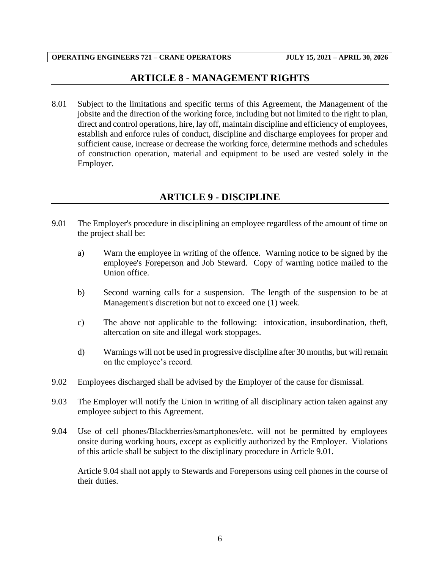## **ARTICLE 8 - MANAGEMENT RIGHTS**

<span id="page-8-0"></span>8.01 Subject to the limitations and specific terms of this Agreement, the Management of the jobsite and the direction of the working force, including but not limited to the right to plan, direct and control operations, hire, lay off, maintain discipline and efficiency of employees, establish and enforce rules of conduct, discipline and discharge employees for proper and sufficient cause, increase or decrease the working force, determine methods and schedules of construction operation, material and equipment to be used are vested solely in the Employer.

## **ARTICLE 9 - DISCIPLINE**

- <span id="page-8-1"></span>9.01 The Employer's procedure in disciplining an employee regardless of the amount of time on the project shall be:
	- a) Warn the employee in writing of the offence. Warning notice to be signed by the employee's Foreperson and Job Steward. Copy of warning notice mailed to the Union office.
	- b) Second warning calls for a suspension. The length of the suspension to be at Management's discretion but not to exceed one (1) week.
	- c) The above not applicable to the following: intoxication, insubordination, theft, altercation on site and illegal work stoppages.
	- d) Warnings will not be used in progressive discipline after 30 months, but will remain on the employee's record.
- 9.02 Employees discharged shall be advised by the Employer of the cause for dismissal.
- 9.03 The Employer will notify the Union in writing of all disciplinary action taken against any employee subject to this Agreement.
- 9.04 Use of cell phones/Blackberries/smartphones/etc. will not be permitted by employees onsite during working hours, except as explicitly authorized by the Employer. Violations of this article shall be subject to the disciplinary procedure in Article 9.01.

Article 9.04 shall not apply to Stewards and Forepersons using cell phones in the course of their duties.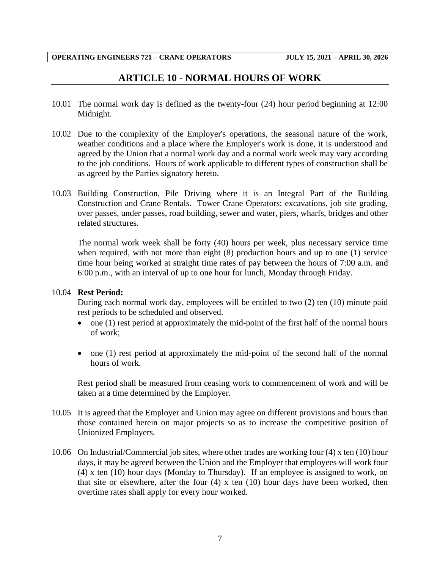## **ARTICLE 10 - NORMAL HOURS OF WORK**

- <span id="page-9-0"></span>10.01 The normal work day is defined as the twenty-four (24) hour period beginning at 12:00 Midnight.
- 10.02 Due to the complexity of the Employer's operations, the seasonal nature of the work, weather conditions and a place where the Employer's work is done, it is understood and agreed by the Union that a normal work day and a normal work week may vary according to the job conditions. Hours of work applicable to different types of construction shall be as agreed by the Parties signatory hereto.
- 10.03 Building Construction, Pile Driving where it is an Integral Part of the Building Construction and Crane Rentals. Tower Crane Operators: excavations, job site grading, over passes, under passes, road building, sewer and water, piers, wharfs, bridges and other related structures.

The normal work week shall be forty (40) hours per week, plus necessary service time when required, with not more than eight (8) production hours and up to one (1) service time hour being worked at straight time rates of pay between the hours of 7:00 a.m. and 6:00 p.m., with an interval of up to one hour for lunch, Monday through Friday.

#### 10.04 **Rest Period:**

During each normal work day, employees will be entitled to two (2) ten (10) minute paid rest periods to be scheduled and observed.

- one (1) rest period at approximately the mid-point of the first half of the normal hours of work;
- one (1) rest period at approximately the mid-point of the second half of the normal hours of work.

Rest period shall be measured from ceasing work to commencement of work and will be taken at a time determined by the Employer.

- 10.05 It is agreed that the Employer and Union may agree on different provisions and hours than those contained herein on major projects so as to increase the competitive position of Unionized Employers.
- 10.06 On Industrial/Commercial job sites, where other trades are working four (4) x ten (10) hour days, it may be agreed between the Union and the Employer that employees will work four (4) x ten (10) hour days (Monday to Thursday). If an employee is assigned to work, on that site or elsewhere, after the four (4) x ten (10) hour days have been worked, then overtime rates shall apply for every hour worked.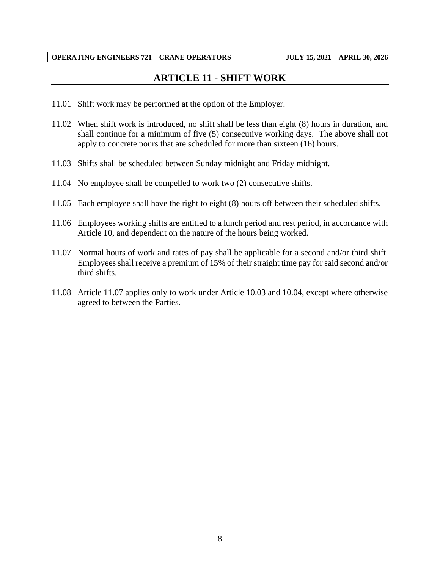## **ARTICLE 11 - SHIFT WORK**

- <span id="page-10-0"></span>11.01 Shift work may be performed at the option of the Employer.
- 11.02 When shift work is introduced, no shift shall be less than eight (8) hours in duration, and shall continue for a minimum of five (5) consecutive working days. The above shall not apply to concrete pours that are scheduled for more than sixteen (16) hours.
- 11.03 Shifts shall be scheduled between Sunday midnight and Friday midnight.
- 11.04 No employee shall be compelled to work two (2) consecutive shifts.
- 11.05 Each employee shall have the right to eight (8) hours off between their scheduled shifts.
- 11.06 Employees working shifts are entitled to a lunch period and rest period, in accordance with Article 10, and dependent on the nature of the hours being worked.
- 11.07 Normal hours of work and rates of pay shall be applicable for a second and/or third shift. Employees shall receive a premium of 15% of their straight time pay for said second and/or third shifts.
- 11.08 Article 11.07 applies only to work under Article 10.03 and 10.04, except where otherwise agreed to between the Parties.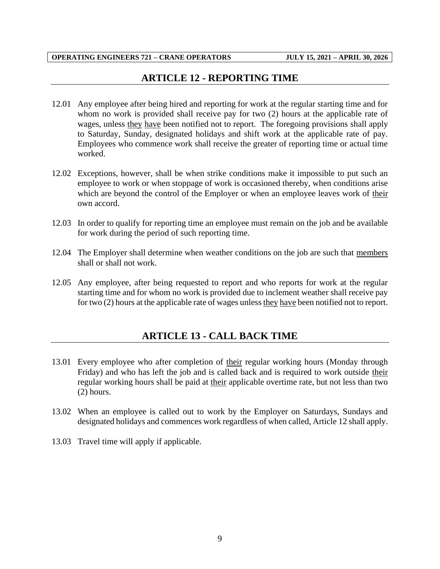## **ARTICLE 12 - REPORTING TIME**

- <span id="page-11-0"></span>12.01 Any employee after being hired and reporting for work at the regular starting time and for whom no work is provided shall receive pay for two (2) hours at the applicable rate of wages, unless they have been notified not to report. The foregoing provisions shall apply to Saturday, Sunday, designated holidays and shift work at the applicable rate of pay. Employees who commence work shall receive the greater of reporting time or actual time worked.
- 12.02 Exceptions, however, shall be when strike conditions make it impossible to put such an employee to work or when stoppage of work is occasioned thereby, when conditions arise which are beyond the control of the Employer or when an employee leaves work of their own accord.
- 12.03 In order to qualify for reporting time an employee must remain on the job and be available for work during the period of such reporting time.
- 12.04 The Employer shall determine when weather conditions on the job are such that members shall or shall not work.
- <span id="page-11-1"></span>12.05 Any employee, after being requested to report and who reports for work at the regular starting time and for whom no work is provided due to inclement weather shall receive pay for two (2) hours at the applicable rate of wages unless they have been notified not to report.

## **ARTICLE 13 - CALL BACK TIME**

- 13.01 Every employee who after completion of their regular working hours (Monday through Friday) and who has left the job and is called back and is required to work outside their regular working hours shall be paid at their applicable overtime rate, but not less than two (2) hours.
- 13.02 When an employee is called out to work by the Employer on Saturdays, Sundays and designated holidays and commences work regardless of when called, Article 12 shall apply.
- 13.03 Travel time will apply if applicable.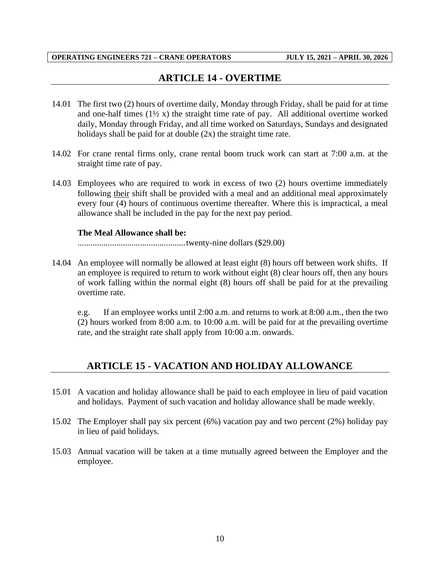## **ARTICLE 14 - OVERTIME**

- <span id="page-12-0"></span>14.01 The first two (2) hours of overtime daily, Monday through Friday, shall be paid for at time and one-half times  $(1\frac{1}{2}x)$  the straight time rate of pay. All additional overtime worked daily, Monday through Friday, and all time worked on Saturdays, Sundays and designated holidays shall be paid for at double  $(2x)$  the straight time rate.
- 14.02 For crane rental firms only, crane rental boom truck work can start at 7:00 a.m. at the straight time rate of pay.
- 14.03 Employees who are required to work in excess of two (2) hours overtime immediately following their shift shall be provided with a meal and an additional meal approximately every four (4) hours of continuous overtime thereafter. Where this is impractical, a meal allowance shall be included in the pay for the next pay period.

#### **The Meal Allowance shall be:**

..................................................twenty-nine dollars (\$29.00)

14.04 An employee will normally be allowed at least eight (8) hours off between work shifts. If an employee is required to return to work without eight (8) clear hours off, then any hours of work falling within the normal eight (8) hours off shall be paid for at the prevailing overtime rate.

e.g. If an employee works until 2:00 a.m. and returns to work at 8:00 a.m., then the two (2) hours worked from 8:00 a.m. to 10:00 a.m. will be paid for at the prevailing overtime rate, and the straight rate shall apply from 10:00 a.m. onwards.

## <span id="page-12-1"></span>**ARTICLE 15 - VACATION AND HOLIDAY ALLOWANCE**

- 15.01 A vacation and holiday allowance shall be paid to each employee in lieu of paid vacation and holidays. Payment of such vacation and holiday allowance shall be made weekly.
- 15.02 The Employer shall pay six percent (6%) vacation pay and two percent (2%) holiday pay in lieu of paid holidays.
- 15.03 Annual vacation will be taken at a time mutually agreed between the Employer and the employee.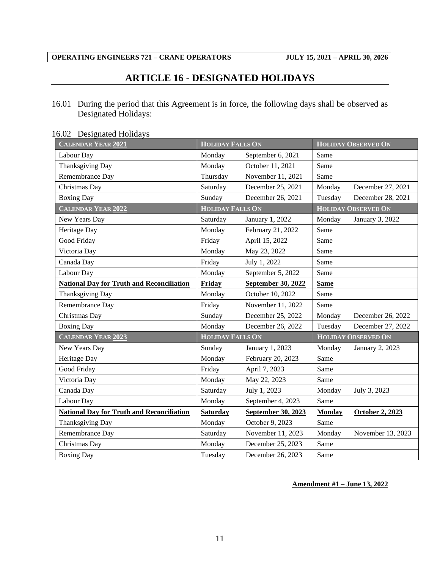## **ARTICLE 16 - DESIGNATED HOLIDAYS**

<span id="page-13-0"></span>16.01 During the period that this Agreement is in force, the following days shall be observed as Designated Holidays:

| <b>CALENDAR YEAR 2021</b>                        | <b>HOLIDAY FALLS ON</b> |                    | <b>HOLIDAY OBSERVED ON</b> |                            |  |
|--------------------------------------------------|-------------------------|--------------------|----------------------------|----------------------------|--|
| Labour Day                                       | Monday                  | September 6, 2021  | Same                       |                            |  |
| Thanksgiving Day                                 | Monday                  | October 11, 2021   | Same                       |                            |  |
| Remembrance Day                                  | Thursday                | November 11, 2021  | Same                       |                            |  |
| Christmas Day                                    | Saturday                | December 25, 2021  | Monday                     | December 27, 2021          |  |
| <b>Boxing Day</b>                                | Sunday                  | December 26, 2021  | Tuesday                    | December 28, 2021          |  |
| <b>CALENDAR YEAR 2022</b>                        | <b>HOLIDAY FALLS ON</b> |                    |                            | <b>HOLIDAY OBSERVED ON</b> |  |
| New Years Day                                    | Saturday                | January 1, 2022    | Monday                     | January 3, 2022            |  |
| Heritage Day                                     | Monday                  | February 21, 2022  | Same                       |                            |  |
| Good Friday                                      | Friday                  | April 15, 2022     | Same                       |                            |  |
| Victoria Day                                     | Monday                  | May 23, 2022       | Same                       |                            |  |
| Canada Day                                       | Friday                  | July 1, 2022       | Same                       |                            |  |
| Labour Day                                       | Monday                  | September 5, 2022  | Same                       |                            |  |
| <b>National Day for Truth and Reconciliation</b> | Friday                  | September 30, 2022 | <b>Same</b>                |                            |  |
| Thanksgiving Day                                 | Monday                  | October 10, 2022   | Same                       |                            |  |
| Remembrance Day                                  | Friday                  | November 11, 2022  | Same                       |                            |  |
| Christmas Day                                    | Sunday                  | December 25, 2022  | Monday                     | December 26, 2022          |  |
| <b>Boxing Day</b>                                | Monday                  | December 26, 2022  | Tuesday                    | December 27, 2022          |  |
| <b>CALENDAR YEAR 2023</b>                        | <b>HOLIDAY FALLS ON</b> |                    | <b>HOLIDAY OBSERVED ON</b> |                            |  |
| New Years Day                                    | Sunday                  | January 1, 2023    | Monday                     | January 2, 2023            |  |
| Heritage Day                                     | Monday                  | February 20, 2023  | Same                       |                            |  |
| Good Friday                                      | Friday                  | April 7, 2023      | Same                       |                            |  |
| Victoria Day                                     | Monday                  | May 22, 2023       | Same                       |                            |  |
| Canada Day                                       | Saturday                | July 1, 2023       | Monday                     | July 3, 2023               |  |
| Labour Day                                       | Monday                  | September 4, 2023  | Same                       |                            |  |
| <b>National Day for Truth and Reconciliation</b> | <b>Saturday</b>         | September 30, 2023 | <b>Monday</b>              | October 2, 2023            |  |
| Thanksgiving Day                                 | Monday                  | October 9, 2023    | Same                       |                            |  |
| Remembrance Day                                  | Saturday                | November 11, 2023  | Monday                     | November 13, 2023          |  |
| Christmas Day                                    | Monday                  | December 25, 2023  | Same                       |                            |  |
| <b>Boxing Day</b>                                | Tuesday                 | December 26, 2023  | Same                       |                            |  |

#### 16.02 Designated Holidays

#### **Amendment #1 – June 13, 2022**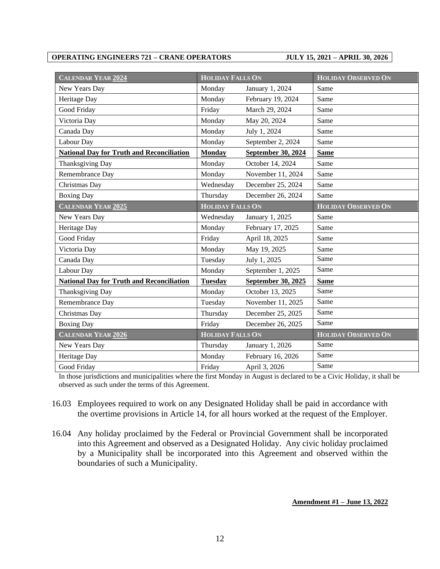| <b>CALENDAR YEAR 2024</b>                        | <b>HOLIDAY FALLS ON</b> |                           | <b>HOLIDAY OBSERVED ON</b> |
|--------------------------------------------------|-------------------------|---------------------------|----------------------------|
| New Years Day                                    | Monday                  | January 1, 2024           | Same                       |
| Heritage Day                                     | Monday                  | February 19, 2024         | Same                       |
| Good Friday                                      | Friday                  | March 29, 2024            | Same                       |
| Victoria Day                                     | Monday                  | May 20, 2024              | Same                       |
| Canada Day                                       | Monday                  | July 1, 2024              | Same                       |
| Labour Day                                       | Monday                  | September 2, 2024         | Same                       |
| <b>National Day for Truth and Reconciliation</b> | Monday                  | <b>September 30, 2024</b> | <b>Same</b>                |
| Thanksgiving Day                                 | Monday                  | October 14, 2024          | Same                       |
| Remembrance Day                                  | Monday                  | November 11, 2024         | Same                       |
| Christmas Day                                    | Wednesday               | December 25, 2024         | Same                       |
| <b>Boxing Day</b>                                | Thursday                | December 26, 2024         | Same                       |
| <b>CALENDAR YEAR 2025</b>                        | <b>HOLIDAY FALLS ON</b> |                           | <b>HOLIDAY OBSERVED ON</b> |
| New Years Day                                    | Wednesday               | January 1, 2025           | Same                       |
| Heritage Day                                     | Monday                  | February 17, 2025         | Same                       |
| Good Friday                                      | Friday                  | April 18, 2025            | Same                       |
| Victoria Day                                     | Monday                  | May 19, 2025              | Same                       |
| Canada Day                                       | Tuesday                 | July 1, 2025              | Same                       |
| Labour Day                                       | Monday                  | September 1, 2025         | Same                       |
| <b>National Day for Truth and Reconciliation</b> | <b>Tuesday</b>          | September 30, 2025        | <b>Same</b>                |
| Thanksgiving Day                                 | Monday                  | October 13, 2025          | Same                       |
| Remembrance Day                                  | Tuesday                 | November 11, 2025         | Same                       |
| Christmas Day                                    | Thursday                | December 25, 2025         | Same                       |
| <b>Boxing Day</b>                                | Friday                  | December 26, 2025         | Same                       |
| <b>CALENDAR YEAR 2026</b>                        | <b>HOLIDAY FALLS ON</b> |                           | <b>HOLIDAY OBSERVED ON</b> |
| New Years Day                                    | Thursday                | January 1, 2026           | Same                       |
| Heritage Day                                     | Monday                  | February 16, 2026         | Same                       |
| Good Friday                                      | Friday                  | April 3, 2026             | Same                       |

In those jurisdictions and municipalities where the first Monday in August is declared to be a Civic Holiday, it shall be observed as such under the terms of this Agreement.

- 16.03 Employees required to work on any Designated Holiday shall be paid in accordance with the overtime provisions in Article 14, for all hours worked at the request of the Employer.
- 16.04 Any holiday proclaimed by the Federal or Provincial Government shall be incorporated into this Agreement and observed as a Designated Holiday. Any civic holiday proclaimed by a Municipality shall be incorporated into this Agreement and observed within the boundaries of such a Municipality.

**Amendment #1 – June 13, 2022**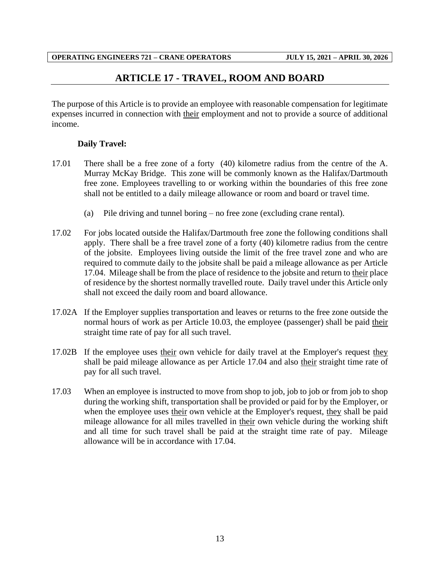## **ARTICLE 17 - TRAVEL, ROOM AND BOARD**

<span id="page-15-0"></span>The purpose of this Article is to provide an employee with reasonable compensation for legitimate expenses incurred in connection with their employment and not to provide a source of additional income.

### **Daily Travel:**

- 17.01 There shall be a free zone of a forty (40) kilometre radius from the centre of the A. Murray McKay Bridge. This zone will be commonly known as the Halifax/Dartmouth free zone. Employees travelling to or working within the boundaries of this free zone shall not be entitled to a daily mileage allowance or room and board or travel time.
	- (a) Pile driving and tunnel boring no free zone (excluding crane rental).
- 17.02 For jobs located outside the Halifax/Dartmouth free zone the following conditions shall apply. There shall be a free travel zone of a forty (40) kilometre radius from the centre of the jobsite. Employees living outside the limit of the free travel zone and who are required to commute daily to the jobsite shall be paid a mileage allowance as per Article 17.04. Mileage shall be from the place of residence to the jobsite and return to their place of residence by the shortest normally travelled route. Daily travel under this Article only shall not exceed the daily room and board allowance.
- 17.02A If the Employer supplies transportation and leaves or returns to the free zone outside the normal hours of work as per Article 10.03, the employee (passenger) shall be paid their straight time rate of pay for all such travel.
- 17.02B If the employee uses their own vehicle for daily travel at the Employer's request they shall be paid mileage allowance as per Article 17.04 and also their straight time rate of pay for all such travel.
- 17.03 When an employee is instructed to move from shop to job, job to job or from job to shop during the working shift, transportation shall be provided or paid for by the Employer, or when the employee uses their own vehicle at the Employer's request, they shall be paid mileage allowance for all miles travelled in their own vehicle during the working shift and all time for such travel shall be paid at the straight time rate of pay. Mileage allowance will be in accordance with 17.04.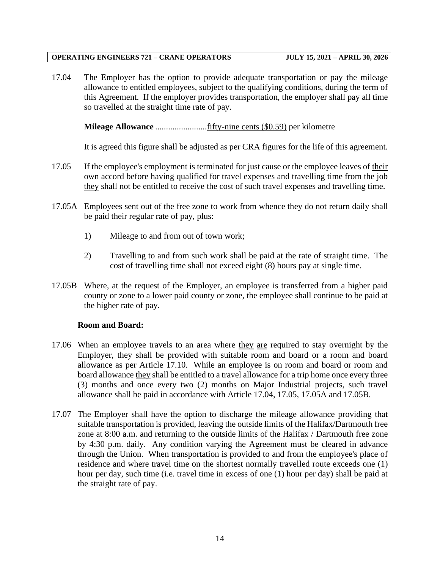17.04 The Employer has the option to provide adequate transportation or pay the mileage allowance to entitled employees, subject to the qualifying conditions, during the term of this Agreement. If the employer provides transportation, the employer shall pay all time so travelled at the straight time rate of pay.

**Mileage Allowance** ........................fifty-nine cents (\$0.59) per kilometre

It is agreed this figure shall be adjusted as per CRA figures for the life of this agreement.

- 17.05 If the employee's employment is terminated for just cause or the employee leaves of their own accord before having qualified for travel expenses and travelling time from the job they shall not be entitled to receive the cost of such travel expenses and travelling time.
- 17.05A Employees sent out of the free zone to work from whence they do not return daily shall be paid their regular rate of pay, plus:
	- 1) Mileage to and from out of town work;
	- 2) Travelling to and from such work shall be paid at the rate of straight time. The cost of travelling time shall not exceed eight (8) hours pay at single time.
- 17.05B Where, at the request of the Employer, an employee is transferred from a higher paid county or zone to a lower paid county or zone, the employee shall continue to be paid at the higher rate of pay.

#### **Room and Board:**

- 17.06 When an employee travels to an area where they are required to stay overnight by the Employer, they shall be provided with suitable room and board or a room and board allowance as per Article 17.10. While an employee is on room and board or room and board allowance they shall be entitled to a travel allowance for a trip home once every three (3) months and once every two (2) months on Major Industrial projects, such travel allowance shall be paid in accordance with Article 17.04, 17.05, 17.05A and 17.05B.
- 17.07 The Employer shall have the option to discharge the mileage allowance providing that suitable transportation is provided, leaving the outside limits of the Halifax/Dartmouth free zone at 8:00 a.m. and returning to the outside limits of the Halifax / Dartmouth free zone by 4:30 p.m. daily. Any condition varying the Agreement must be cleared in advance through the Union. When transportation is provided to and from the employee's place of residence and where travel time on the shortest normally travelled route exceeds one (1) hour per day, such time (i.e. travel time in excess of one (1) hour per day) shall be paid at the straight rate of pay.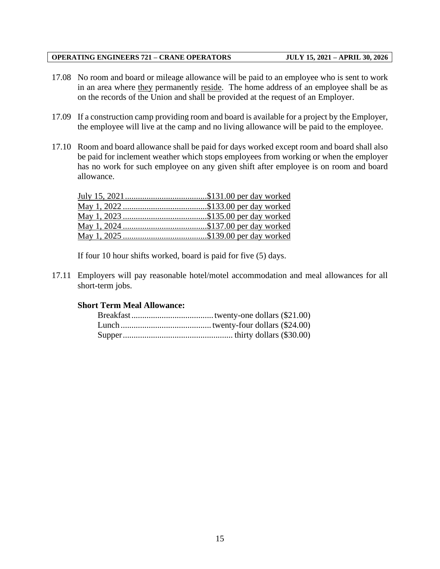- 17.08 No room and board or mileage allowance will be paid to an employee who is sent to work in an area where they permanently reside. The home address of an employee shall be as on the records of the Union and shall be provided at the request of an Employer.
- 17.09 If a construction camp providing room and board is available for a project by the Employer, the employee will live at the camp and no living allowance will be paid to the employee.
- 17.10 Room and board allowance shall be paid for days worked except room and board shall also be paid for inclement weather which stops employees from working or when the employer has no work for such employee on any given shift after employee is on room and board allowance.

If four 10 hour shifts worked, board is paid for five (5) days.

17.11 Employers will pay reasonable hotel/motel accommodation and meal allowances for all short-term jobs.

#### **Short Term Meal Allowance:**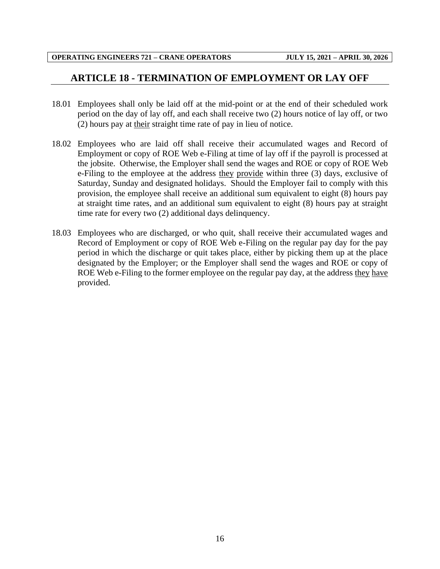## <span id="page-18-0"></span>**ARTICLE 18 - TERMINATION OF EMPLOYMENT OR LAY OFF**

- 18.01 Employees shall only be laid off at the mid-point or at the end of their scheduled work period on the day of lay off, and each shall receive two (2) hours notice of lay off, or two (2) hours pay at their straight time rate of pay in lieu of notice.
- 18.02 Employees who are laid off shall receive their accumulated wages and Record of Employment or copy of ROE Web e-Filing at time of lay off if the payroll is processed at the jobsite. Otherwise, the Employer shall send the wages and ROE or copy of ROE Web e-Filing to the employee at the address they provide within three (3) days, exclusive of Saturday, Sunday and designated holidays. Should the Employer fail to comply with this provision, the employee shall receive an additional sum equivalent to eight (8) hours pay at straight time rates, and an additional sum equivalent to eight (8) hours pay at straight time rate for every two (2) additional days delinquency.
- 18.03 Employees who are discharged, or who quit, shall receive their accumulated wages and Record of Employment or copy of ROE Web e-Filing on the regular pay day for the pay period in which the discharge or quit takes place, either by picking them up at the place designated by the Employer; or the Employer shall send the wages and ROE or copy of ROE Web e-Filing to the former employee on the regular pay day, at the address they have provided.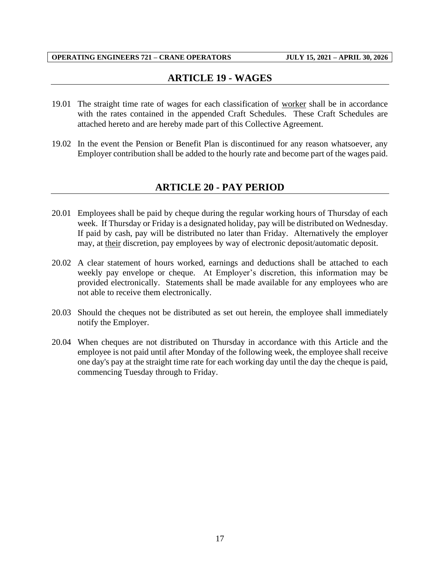## **ARTICLE 19 - WAGES**

- <span id="page-19-0"></span>19.01 The straight time rate of wages for each classification of worker shall be in accordance with the rates contained in the appended Craft Schedules. These Craft Schedules are attached hereto and are hereby made part of this Collective Agreement.
- <span id="page-19-1"></span>19.02 In the event the Pension or Benefit Plan is discontinued for any reason whatsoever, any Employer contribution shall be added to the hourly rate and become part of the wages paid.

## **ARTICLE 20 - PAY PERIOD**

- 20.01 Employees shall be paid by cheque during the regular working hours of Thursday of each week. If Thursday or Friday is a designated holiday, pay will be distributed on Wednesday. If paid by cash, pay will be distributed no later than Friday. Alternatively the employer may, at their discretion, pay employees by way of electronic deposit/automatic deposit.
- 20.02 A clear statement of hours worked, earnings and deductions shall be attached to each weekly pay envelope or cheque. At Employer's discretion, this information may be provided electronically. Statements shall be made available for any employees who are not able to receive them electronically.
- 20.03 Should the cheques not be distributed as set out herein, the employee shall immediately notify the Employer.
- 20.04 When cheques are not distributed on Thursday in accordance with this Article and the employee is not paid until after Monday of the following week, the employee shall receive one day's pay at the straight time rate for each working day until the day the cheque is paid, commencing Tuesday through to Friday.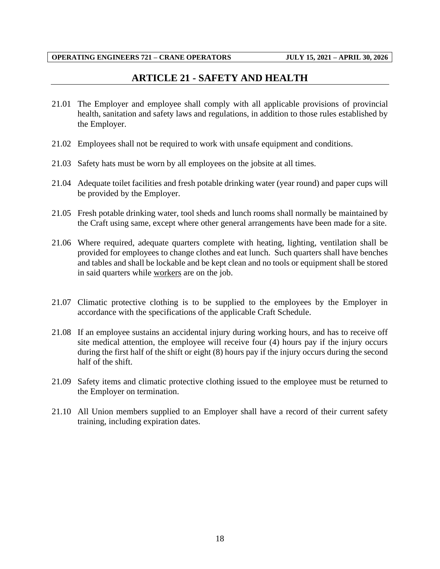## **ARTICLE 21 - SAFETY AND HEALTH**

- <span id="page-20-0"></span>21.01 The Employer and employee shall comply with all applicable provisions of provincial health, sanitation and safety laws and regulations, in addition to those rules established by the Employer.
- 21.02 Employees shall not be required to work with unsafe equipment and conditions.
- 21.03 Safety hats must be worn by all employees on the jobsite at all times.
- 21.04 Adequate toilet facilities and fresh potable drinking water (year round) and paper cups will be provided by the Employer.
- 21.05 Fresh potable drinking water, tool sheds and lunch rooms shall normally be maintained by the Craft using same, except where other general arrangements have been made for a site.
- 21.06 Where required, adequate quarters complete with heating, lighting, ventilation shall be provided for employees to change clothes and eat lunch. Such quarters shall have benches and tables and shall be lockable and be kept clean and no tools or equipment shall be stored in said quarters while workers are on the job.
- 21.07 Climatic protective clothing is to be supplied to the employees by the Employer in accordance with the specifications of the applicable Craft Schedule.
- 21.08 If an employee sustains an accidental injury during working hours, and has to receive off site medical attention, the employee will receive four (4) hours pay if the injury occurs during the first half of the shift or eight (8) hours pay if the injury occurs during the second half of the shift.
- 21.09 Safety items and climatic protective clothing issued to the employee must be returned to the Employer on termination.
- 21.10 All Union members supplied to an Employer shall have a record of their current safety training, including expiration dates.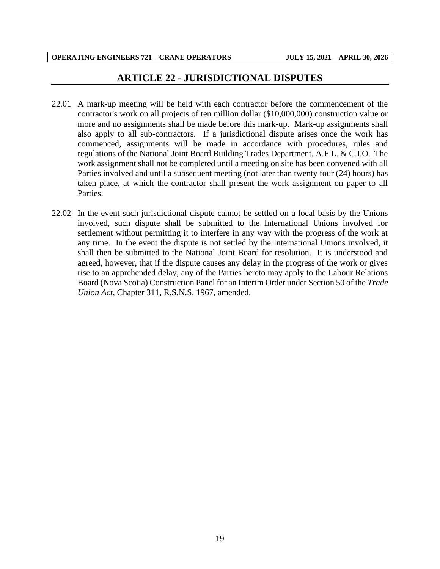## **ARTICLE 22 - JURISDICTIONAL DISPUTES**

- <span id="page-21-0"></span>22.01 A mark-up meeting will be held with each contractor before the commencement of the contractor's work on all projects of ten million dollar (\$10,000,000) construction value or more and no assignments shall be made before this mark-up. Mark-up assignments shall also apply to all sub-contractors. If a jurisdictional dispute arises once the work has commenced, assignments will be made in accordance with procedures, rules and regulations of the National Joint Board Building Trades Department, A.F.L. & C.I.O. The work assignment shall not be completed until a meeting on site has been convened with all Parties involved and until a subsequent meeting (not later than twenty four (24) hours) has taken place, at which the contractor shall present the work assignment on paper to all Parties.
- 22.02 In the event such jurisdictional dispute cannot be settled on a local basis by the Unions involved, such dispute shall be submitted to the International Unions involved for settlement without permitting it to interfere in any way with the progress of the work at any time. In the event the dispute is not settled by the International Unions involved, it shall then be submitted to the National Joint Board for resolution. It is understood and agreed, however, that if the dispute causes any delay in the progress of the work or gives rise to an apprehended delay, any of the Parties hereto may apply to the Labour Relations Board (Nova Scotia) Construction Panel for an Interim Order under Section 50 of the *Trade Union Act*, Chapter 311, R.S.N.S. 1967, amended.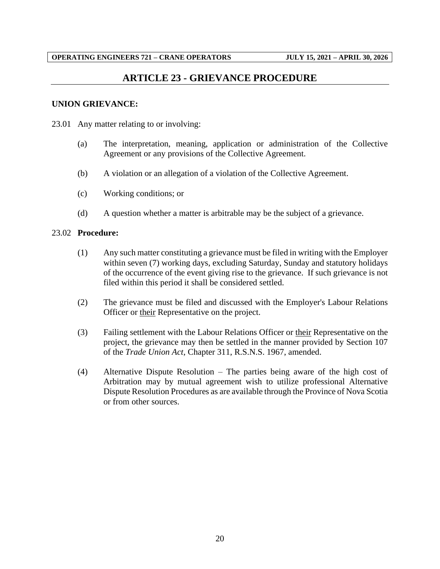## **ARTICLE 23 - GRIEVANCE PROCEDURE**

#### <span id="page-22-0"></span>**UNION GRIEVANCE:**

- 23.01 Any matter relating to or involving:
	- (a) The interpretation, meaning, application or administration of the Collective Agreement or any provisions of the Collective Agreement.
	- (b) A violation or an allegation of a violation of the Collective Agreement.
	- (c) Working conditions; or
	- (d) A question whether a matter is arbitrable may be the subject of a grievance.

#### 23.02 **Procedure:**

- (1) Any such matter constituting a grievance must be filed in writing with the Employer within seven (7) working days, excluding Saturday, Sunday and statutory holidays of the occurrence of the event giving rise to the grievance. If such grievance is not filed within this period it shall be considered settled.
- (2) The grievance must be filed and discussed with the Employer's Labour Relations Officer or their Representative on the project.
- (3) Failing settlement with the Labour Relations Officer or their Representative on the project, the grievance may then be settled in the manner provided by Section 107 of the *Trade Union Act*, Chapter 311, R.S.N.S. 1967, amended.
- (4) Alternative Dispute Resolution The parties being aware of the high cost of Arbitration may by mutual agreement wish to utilize professional Alternative Dispute Resolution Procedures as are available through the Province of Nova Scotia or from other sources.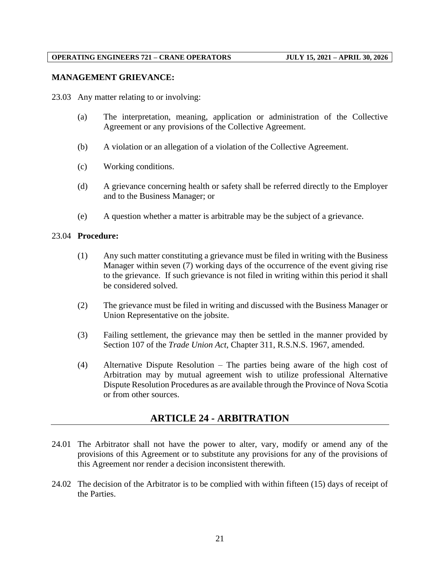#### **MANAGEMENT GRIEVANCE:**

23.03 Any matter relating to or involving:

- (a) The interpretation, meaning, application or administration of the Collective Agreement or any provisions of the Collective Agreement.
- (b) A violation or an allegation of a violation of the Collective Agreement.
- (c) Working conditions.
- (d) A grievance concerning health or safety shall be referred directly to the Employer and to the Business Manager; or
- (e) A question whether a matter is arbitrable may be the subject of a grievance.

#### 23.04 **Procedure:**

- (1) Any such matter constituting a grievance must be filed in writing with the Business Manager within seven (7) working days of the occurrence of the event giving rise to the grievance. If such grievance is not filed in writing within this period it shall be considered solved.
- (2) The grievance must be filed in writing and discussed with the Business Manager or Union Representative on the jobsite.
- (3) Failing settlement, the grievance may then be settled in the manner provided by Section 107 of the *Trade Union Act*, Chapter 311, R.S.N.S. 1967, amended.
- (4) Alternative Dispute Resolution The parties being aware of the high cost of Arbitration may by mutual agreement wish to utilize professional Alternative Dispute Resolution Procedures as are available through the Province of Nova Scotia or from other sources.

## **ARTICLE 24 - ARBITRATION**

- <span id="page-23-0"></span>24.01 The Arbitrator shall not have the power to alter, vary, modify or amend any of the provisions of this Agreement or to substitute any provisions for any of the provisions of this Agreement nor render a decision inconsistent therewith.
- 24.02 The decision of the Arbitrator is to be complied with within fifteen (15) days of receipt of the Parties.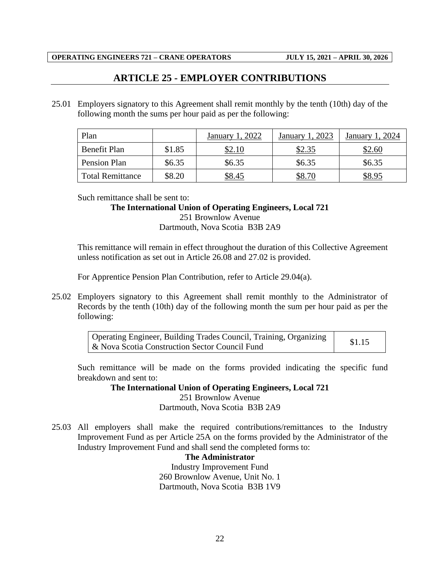## **ARTICLE 25 - EMPLOYER CONTRIBUTIONS**

<span id="page-24-0"></span>25.01 Employers signatory to this Agreement shall remit monthly by the tenth (10th) day of the following month the sums per hour paid as per the following:

| Plan                    |        | 2022<br>January | 1.2023<br>January | 2024<br>January |
|-------------------------|--------|-----------------|-------------------|-----------------|
| <b>Benefit Plan</b>     | \$1.85 | \$2.10          | \$2.35            | \$2.60          |
| Pension Plan            | \$6.35 | \$6.35          | \$6.35            | \$6.35          |
| <b>Total Remittance</b> | \$8.20 | \$8.45          | \$8.70            | \$8.95          |

Such remittance shall be sent to:

## **The International Union of Operating Engineers, Local 721**

251 Brownlow Avenue Dartmouth, Nova Scotia B3B 2A9

This remittance will remain in effect throughout the duration of this Collective Agreement unless notification as set out in Article 26.08 and 27.02 is provided.

For Apprentice Pension Plan Contribution, refer to Article 29.04(a).

25.02 Employers signatory to this Agreement shall remit monthly to the Administrator of Records by the tenth (10th) day of the following month the sum per hour paid as per the following:

Such remittance will be made on the forms provided indicating the specific fund breakdown and sent to:

**The International Union of Operating Engineers, Local 721**

251 Brownlow Avenue Dartmouth, Nova Scotia B3B 2A9

25.03 All employers shall make the required contributions/remittances to the Industry Improvement Fund as per Article 25A on the forms provided by the Administrator of the Industry Improvement Fund and shall send the completed forms to:

#### **The Administrator**

Industry Improvement Fund 260 Brownlow Avenue, Unit No. 1 Dartmouth, Nova Scotia B3B 1V9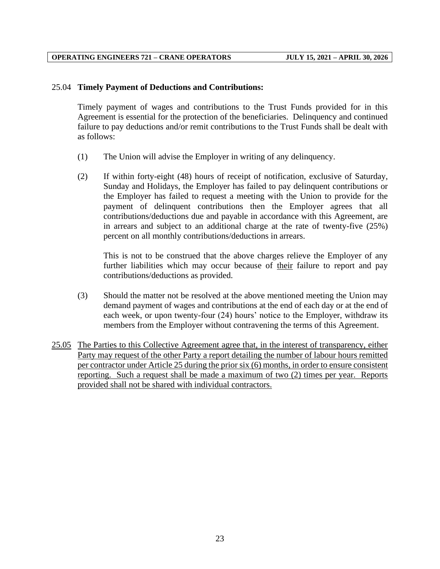#### 25.04 **Timely Payment of Deductions and Contributions:**

Timely payment of wages and contributions to the Trust Funds provided for in this Agreement is essential for the protection of the beneficiaries. Delinquency and continued failure to pay deductions and/or remit contributions to the Trust Funds shall be dealt with as follows:

- (1) The Union will advise the Employer in writing of any delinquency.
- (2) If within forty-eight (48) hours of receipt of notification, exclusive of Saturday, Sunday and Holidays, the Employer has failed to pay delinquent contributions or the Employer has failed to request a meeting with the Union to provide for the payment of delinquent contributions then the Employer agrees that all contributions/deductions due and payable in accordance with this Agreement, are in arrears and subject to an additional charge at the rate of twenty-five (25%) percent on all monthly contributions/deductions in arrears.

This is not to be construed that the above charges relieve the Employer of any further liabilities which may occur because of their failure to report and pay contributions/deductions as provided.

- (3) Should the matter not be resolved at the above mentioned meeting the Union may demand payment of wages and contributions at the end of each day or at the end of each week, or upon twenty-four (24) hours' notice to the Employer, withdraw its members from the Employer without contravening the terms of this Agreement.
- 25.05 The Parties to this Collective Agreement agree that, in the interest of transparency, either Party may request of the other Party a report detailing the number of labour hours remitted per contractor under Article 25 during the prior six (6) months, in order to ensure consistent reporting. Such a request shall be made a maximum of two (2) times per year. Reports provided shall not be shared with individual contractors.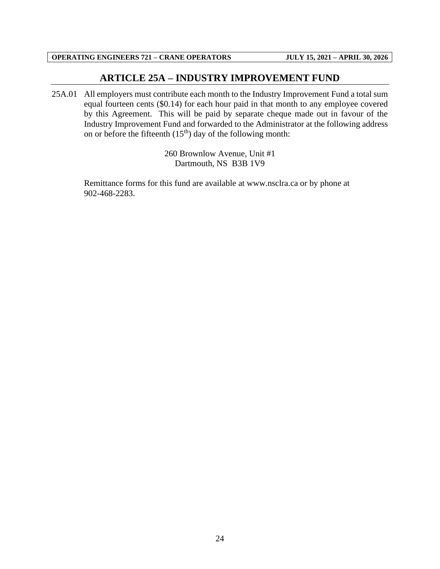## **ARTICLE 25A – INDUSTRY IMPROVEMENT FUND**

<span id="page-26-0"></span>25A.01 All employers must contribute each month to the Industry Improvement Fund a total sum equal fourteen cents (\$0.14) for each hour paid in that month to any employee covered by this Agreement. This will be paid by separate cheque made out in favour of the Industry Improvement Fund and forwarded to the Administrator at the following address on or before the fifteenth  $(15<sup>th</sup>)$  day of the following month:

> 260 Brownlow Avenue, Unit #1 Dartmouth, NS B3B 1V9

Remittance forms for this fund are available at www.nsclra.ca or by phone at 902-468-2283.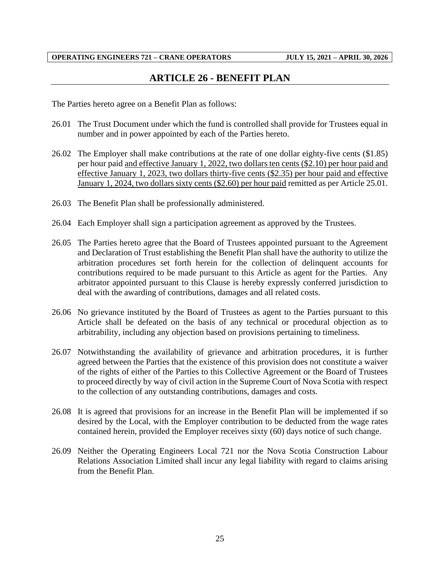## **ARTICLE 26 - BENEFIT PLAN**

<span id="page-27-0"></span>The Parties hereto agree on a Benefit Plan as follows:

- 26.01 The Trust Document under which the fund is controlled shall provide for Trustees equal in number and in power appointed by each of the Parties hereto.
- 26.02 The Employer shall make contributions at the rate of one dollar eighty-five cents (\$1.85) per hour paid and effective January 1, 2022, two dollars ten cents (\$2.10) per hour paid and effective January 1, 2023, two dollars thirty-five cents (\$2.35) per hour paid and effective January 1, 2024, two dollars sixty cents (\$2.60) per hour paid remitted as per Article 25.01.
- 26.03 The Benefit Plan shall be professionally administered.
- 26.04 Each Employer shall sign a participation agreement as approved by the Trustees.
- 26.05 The Parties hereto agree that the Board of Trustees appointed pursuant to the Agreement and Declaration of Trust establishing the Benefit Plan shall have the authority to utilize the arbitration procedures set forth herein for the collection of delinquent accounts for contributions required to be made pursuant to this Article as agent for the Parties. Any arbitrator appointed pursuant to this Clause is hereby expressly conferred jurisdiction to deal with the awarding of contributions, damages and all related costs.
- 26.06 No grievance instituted by the Board of Trustees as agent to the Parties pursuant to this Article shall be defeated on the basis of any technical or procedural objection as to arbitrability, including any objection based on provisions pertaining to timeliness.
- 26.07 Notwithstanding the availability of grievance and arbitration procedures, it is further agreed between the Parties that the existence of this provision does not constitute a waiver of the rights of either of the Parties to this Collective Agreement or the Board of Trustees to proceed directly by way of civil action in the Supreme Court of Nova Scotia with respect to the collection of any outstanding contributions, damages and costs.
- 26.08 It is agreed that provisions for an increase in the Benefit Plan will be implemented if so desired by the Local, with the Employer contribution to be deducted from the wage rates contained herein, provided the Employer receives sixty (60) days notice of such change.
- 26.09 Neither the Operating Engineers Local 721 nor the Nova Scotia Construction Labour Relations Association Limited shall incur any legal liability with regard to claims arising from the Benefit Plan.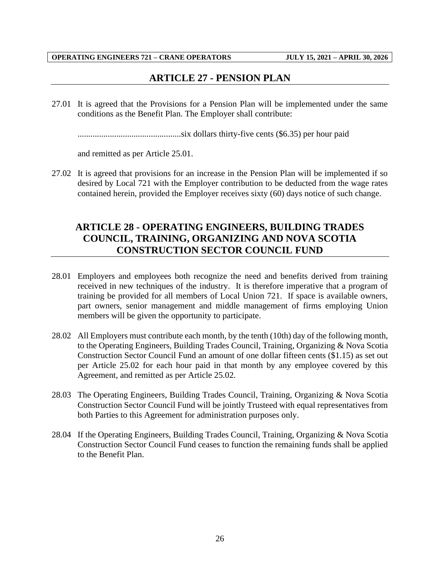## **ARTICLE 27 - PENSION PLAN**

<span id="page-28-0"></span>27.01 It is agreed that the Provisions for a Pension Plan will be implemented under the same conditions as the Benefit Plan. The Employer shall contribute:

................................................six dollars thirty-five cents (\$6.35) per hour paid

and remitted as per Article 25.01.

27.02 It is agreed that provisions for an increase in the Pension Plan will be implemented if so desired by Local 721 with the Employer contribution to be deducted from the wage rates contained herein, provided the Employer receives sixty (60) days notice of such change.

## <span id="page-28-1"></span>**ARTICLE 28 - OPERATING ENGINEERS, BUILDING TRADES COUNCIL, TRAINING, ORGANIZING AND NOVA SCOTIA CONSTRUCTION SECTOR COUNCIL FUND**

- 28.01 Employers and employees both recognize the need and benefits derived from training received in new techniques of the industry. It is therefore imperative that a program of training be provided for all members of Local Union 721. If space is available owners, part owners, senior management and middle management of firms employing Union members will be given the opportunity to participate.
- 28.02 All Employers must contribute each month, by the tenth (10th) day of the following month, to the Operating Engineers, Building Trades Council, Training, Organizing & Nova Scotia Construction Sector Council Fund an amount of one dollar fifteen cents (\$1.15) as set out per Article 25.02 for each hour paid in that month by any employee covered by this Agreement, and remitted as per Article 25.02.
- 28.03 The Operating Engineers, Building Trades Council, Training, Organizing & Nova Scotia Construction Sector Council Fund will be jointly Trusteed with equal representatives from both Parties to this Agreement for administration purposes only.
- 28.04 If the Operating Engineers, Building Trades Council, Training, Organizing & Nova Scotia Construction Sector Council Fund ceases to function the remaining funds shall be applied to the Benefit Plan.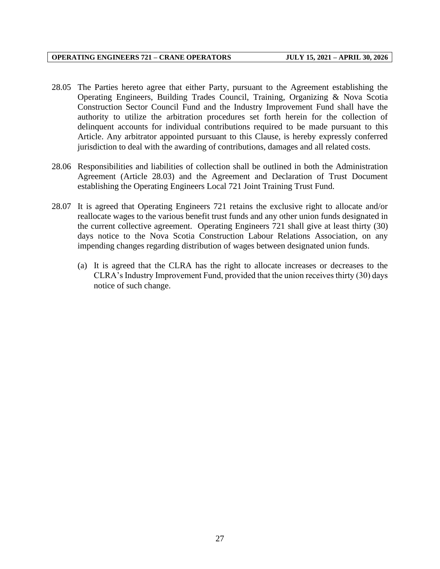- 28.05 The Parties hereto agree that either Party, pursuant to the Agreement establishing the Operating Engineers, Building Trades Council, Training, Organizing & Nova Scotia Construction Sector Council Fund and the Industry Improvement Fund shall have the authority to utilize the arbitration procedures set forth herein for the collection of delinquent accounts for individual contributions required to be made pursuant to this Article. Any arbitrator appointed pursuant to this Clause, is hereby expressly conferred jurisdiction to deal with the awarding of contributions, damages and all related costs.
- 28.06 Responsibilities and liabilities of collection shall be outlined in both the Administration Agreement (Article 28.03) and the Agreement and Declaration of Trust Document establishing the Operating Engineers Local 721 Joint Training Trust Fund.
- 28.07 It is agreed that Operating Engineers 721 retains the exclusive right to allocate and/or reallocate wages to the various benefit trust funds and any other union funds designated in the current collective agreement. Operating Engineers 721 shall give at least thirty (30) days notice to the Nova Scotia Construction Labour Relations Association, on any impending changes regarding distribution of wages between designated union funds.
	- (a) It is agreed that the CLRA has the right to allocate increases or decreases to the CLRA's Industry Improvement Fund, provided that the union receives thirty (30) days notice of such change.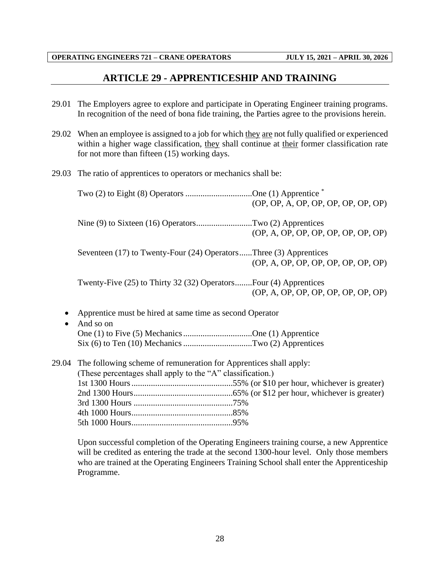## **ARTICLE 29 - APPRENTICESHIP AND TRAINING**

- <span id="page-30-0"></span>29.01 The Employers agree to explore and participate in Operating Engineer training programs. In recognition of the need of bona fide training, the Parties agree to the provisions herein.
- 29.02 When an employee is assigned to a job for which they are not fully qualified or experienced within a higher wage classification, they shall continue at their former classification rate for not more than fifteen (15) working days.
- 29.03 The ratio of apprentices to operators or mechanics shall be:

|       | Two $(2)$ to Eight $(8)$ Operators One $(1)$ Apprentice $*$                                                                                                                                    | (OP, OP, A, OP, OP, OP, OP, OP, OP) |
|-------|------------------------------------------------------------------------------------------------------------------------------------------------------------------------------------------------|-------------------------------------|
|       | Nine (9) to Sixteen (16) OperatorsTwo (2) Apprentices                                                                                                                                          | (OP, A, OP, OP, OP, OP, OP, OP, OP) |
|       | Seventeen (17) to Twenty-Four (24) OperatorsThree (3) Apprentices                                                                                                                              | (OP, A, OP, OP, OP, OP, OP, OP, OP) |
|       | Twenty-Five (25) to Thirty 32 (32) OperatorsFour (4) Apprentices                                                                                                                               | (OP, A, OP, OP, OP, OP, OP, OP, OP) |
|       | Apprentice must be hired at same time as second Operator<br>And so on<br>One (1) to Five (5) Mechanics One (1) Apprentice<br>$Six (6) to Ten (10) Mechanics … … … … … … … Two (2) Apprentices$ |                                     |
| 29.04 | The following scheme of remuneration for Apprentices shall apply:<br>(These percentages shall apply to the "A" classification.)                                                                |                                     |
|       |                                                                                                                                                                                                |                                     |

Upon successful completion of the Operating Engineers training course, a new Apprentice will be credited as entering the trade at the second 1300-hour level. Only those members who are trained at the Operating Engineers Training School shall enter the Apprenticeship Programme.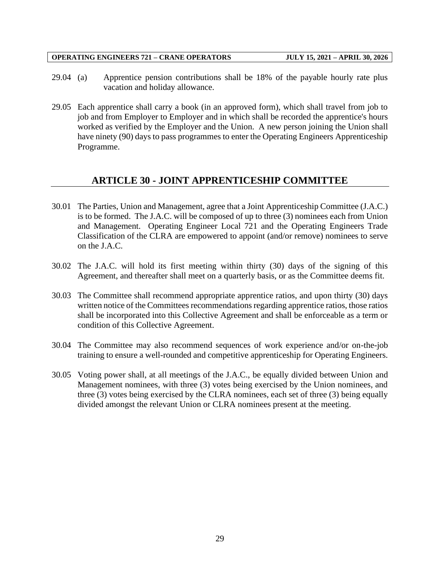- 29.04 (a) Apprentice pension contributions shall be 18% of the payable hourly rate plus vacation and holiday allowance.
- 29.05 Each apprentice shall carry a book (in an approved form), which shall travel from job to job and from Employer to Employer and in which shall be recorded the apprentice's hours worked as verified by the Employer and the Union. A new person joining the Union shall have ninety (90) days to pass programmes to enter the Operating Engineers Apprenticeship Programme.

## **ARTICLE 30 - JOINT APPRENTICESHIP COMMITTEE**

- <span id="page-31-0"></span>30.01 The Parties, Union and Management, agree that a Joint Apprenticeship Committee (J.A.C.) is to be formed. The J.A.C. will be composed of up to three (3) nominees each from Union and Management. Operating Engineer Local 721 and the Operating Engineers Trade Classification of the CLRA are empowered to appoint (and/or remove) nominees to serve on the J.A.C.
- 30.02 The J.A.C. will hold its first meeting within thirty (30) days of the signing of this Agreement, and thereafter shall meet on a quarterly basis, or as the Committee deems fit.
- 30.03 The Committee shall recommend appropriate apprentice ratios, and upon thirty (30) days written notice of the Committees recommendations regarding apprentice ratios, those ratios shall be incorporated into this Collective Agreement and shall be enforceable as a term or condition of this Collective Agreement.
- 30.04 The Committee may also recommend sequences of work experience and/or on-the-job training to ensure a well-rounded and competitive apprenticeship for Operating Engineers.
- 30.05 Voting power shall, at all meetings of the J.A.C., be equally divided between Union and Management nominees, with three (3) votes being exercised by the Union nominees, and three (3) votes being exercised by the CLRA nominees, each set of three (3) being equally divided amongst the relevant Union or CLRA nominees present at the meeting.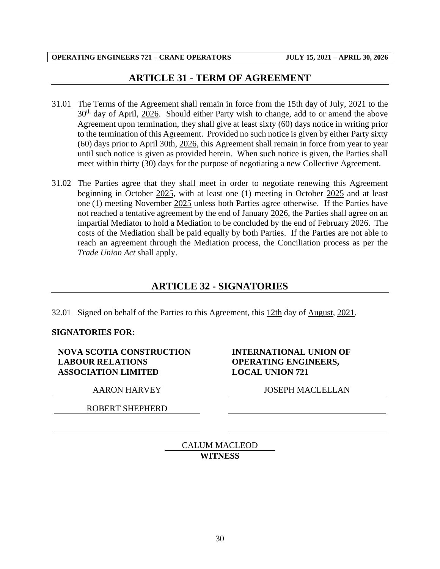## **ARTICLE 31 - TERM OF AGREEMENT**

- <span id="page-32-0"></span>31.01 The Terms of the Agreement shall remain in force from the 15th day of July, 2021 to the  $30<sup>th</sup>$  day of April,  $2026$ . Should either Party wish to change, add to or amend the above Agreement upon termination, they shall give at least sixty (60) days notice in writing prior to the termination of this Agreement. Provided no such notice is given by either Party sixty (60) days prior to April 30th, 2026, this Agreement shall remain in force from year to year until such notice is given as provided herein. When such notice is given, the Parties shall meet within thirty (30) days for the purpose of negotiating a new Collective Agreement.
- 31.02 The Parties agree that they shall meet in order to negotiate renewing this Agreement beginning in October 2025, with at least one (1) meeting in October 2025 and at least one (1) meeting November 2025 unless both Parties agree otherwise. If the Parties have not reached a tentative agreement by the end of January 2026, the Parties shall agree on an impartial Mediator to hold a Mediation to be concluded by the end of February 2026. The costs of the Mediation shall be paid equally by both Parties. If the Parties are not able to reach an agreement through the Mediation process, the Conciliation process as per the *Trade Union Act* shall apply.

## **ARTICLE 32 - SIGNATORIES**

<span id="page-32-1"></span>32.01 Signed on behalf of the Parties to this Agreement, this 12th day of August, 2021.

#### **SIGNATORIES FOR:**

**NOVA SCOTIA CONSTRUCTION LABOUR RELATIONS ASSOCIATION LIMITED**

ROBERT SHEPHERD

### **INTERNATIONAL UNION OF OPERATING ENGINEERS, LOCAL UNION 721**

AARON HARVEY JOSEPH MACLELLAN

CALUM MACLEOD **WITNESS**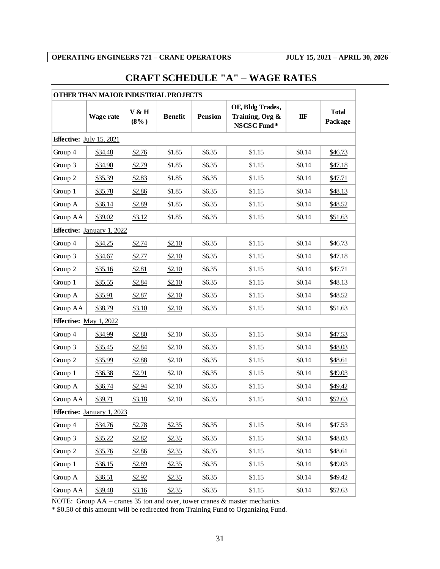# <span id="page-33-0"></span>**CRAFT SCHEDULE "A" – WAGE RATES**

|          | OTHER THAN MAJOR INDUSTRIAL PROJECTS |                  |                |         |                                                    |        |                         |  |  |
|----------|--------------------------------------|------------------|----------------|---------|----------------------------------------------------|--------|-------------------------|--|--|
|          | <b>Wage rate</b>                     | V & H<br>$(8\%)$ | <b>Benefit</b> | Pension | OE, Bldg Trades,<br>Training, Org &<br>NSCSC Fund* | IIF    | <b>Total</b><br>Package |  |  |
|          | Effective: July 15, 2021             |                  |                |         |                                                    |        |                         |  |  |
| Group 4  | <u>\$34.48</u>                       | \$2.76           | \$1.85         | \$6.35  | \$1.15                                             | \$0.14 | \$46.73                 |  |  |
| Group 3  | \$34.90                              | \$2.79           | \$1.85         | \$6.35  | \$1.15                                             | \$0.14 | \$47.18                 |  |  |
| Group 2  | \$35.39                              | \$2.83           | \$1.85         | \$6.35  | \$1.15                                             | \$0.14 | \$47.71                 |  |  |
| Group 1  | \$35.78                              | \$2.86           | \$1.85         | \$6.35  | \$1.15                                             | \$0.14 | \$48.13                 |  |  |
| Group A  | \$36.14                              | \$2.89           | \$1.85         | \$6.35  | \$1.15                                             | \$0.14 | \$48.52                 |  |  |
| Group AA | \$39.02                              | \$3.12           | \$1.85         | \$6.35  | \$1.15                                             | \$0.14 | \$51.63                 |  |  |
|          | <b>Effective:</b> January 1, 2022    |                  |                |         |                                                    |        |                         |  |  |
| Group 4  | \$34.25                              | \$2.74           | \$2.10         | \$6.35  | \$1.15                                             | \$0.14 | \$46.73                 |  |  |
| Group 3  | \$34.67                              | \$2.77           | \$2.10         | \$6.35  | \$1.15                                             | \$0.14 | \$47.18                 |  |  |
| Group 2  | \$35.16                              | \$2.81           | \$2.10         | \$6.35  | \$1.15                                             | \$0.14 | \$47.71                 |  |  |
| Group 1  | \$35.55                              | \$2.84           | \$2.10         | \$6.35  | \$1.15                                             | \$0.14 | \$48.13                 |  |  |
| Group A  | \$35.91                              | \$2.87           | \$2.10         | \$6.35  | \$1.15                                             | \$0.14 | \$48.52                 |  |  |
| Group AA | \$38.79                              | \$3.10           | \$2.10         | \$6.35  | \$1.15                                             | \$0.14 | \$51.63                 |  |  |
|          | Effective: May 1, 2022               |                  |                |         |                                                    |        |                         |  |  |
| Group 4  | \$34.99                              | \$2.80           | \$2.10         | \$6.35  | \$1.15                                             | \$0.14 | \$47.53                 |  |  |
| Group 3  | \$35.45                              | \$2.84           | \$2.10         | \$6.35  | \$1.15                                             | \$0.14 | \$48.03                 |  |  |
| Group 2  | \$35.99                              | \$2.88           | \$2.10         | \$6.35  | \$1.15                                             | \$0.14 | \$48.61                 |  |  |
| Group 1  | \$36.38                              | \$2.91           | \$2.10         | \$6.35  | \$1.15                                             | \$0.14 | \$49.03                 |  |  |
| Group A  | \$36.74                              | \$2.94           | \$2.10         | \$6.35  | \$1.15                                             | \$0.14 | \$49.42                 |  |  |
| Group AA | \$39.71                              | \$3.18           | \$2.10         | \$6.35  | \$1.15                                             | \$0.14 | \$52.63                 |  |  |
|          | <b>Effective:</b> January 1, 2023    |                  |                |         |                                                    |        |                         |  |  |
| Group 4  | \$34.76                              | \$2.78           | \$2.35         | \$6.35  | \$1.15                                             | \$0.14 | \$47.53                 |  |  |
| Group 3  | \$35.22                              | \$2.82           | \$2.35         | \$6.35  | \$1.15                                             | \$0.14 | \$48.03                 |  |  |
| Group 2  | \$35.76                              | \$2.86           | \$2.35         | \$6.35  | \$1.15                                             | \$0.14 | \$48.61                 |  |  |
| Group 1  | \$36.15                              | \$2.89           | \$2.35         | \$6.35  | \$1.15                                             | \$0.14 | \$49.03                 |  |  |
| Group A  | \$36.51                              | \$2.92           | \$2.35         | \$6.35  | \$1.15                                             | \$0.14 | \$49.42                 |  |  |
| Group AA | \$39.48                              | \$3.16           | \$2.35         | \$6.35  | \$1.15                                             | \$0.14 | \$52.63                 |  |  |

NOTE: Group AA – cranes 35 ton and over, tower cranes & master mechanics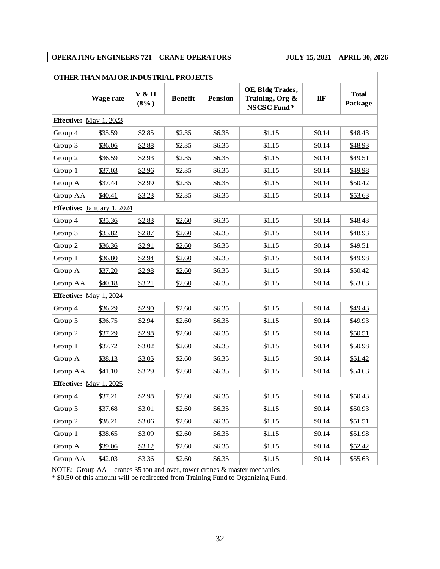| OTHER THAN MAJOR INDUSTRIAL PROJECTS |                                   |                  |                |                |                                                    |                |                         |  |  |
|--------------------------------------|-----------------------------------|------------------|----------------|----------------|----------------------------------------------------|----------------|-------------------------|--|--|
|                                      | Wage rate                         | V & H<br>$(8\%)$ | <b>Benefit</b> | <b>Pension</b> | OE, Bldg Trades,<br>Training, Org &<br>NSCSC Fund* | $\mathbf{IIF}$ | <b>Total</b><br>Package |  |  |
|                                      | <b>Effective:</b> May 1, 2023     |                  |                |                |                                                    |                |                         |  |  |
| Group 4                              | \$35.59                           | \$2.85           | \$2.35         | \$6.35         | \$1.15                                             | \$0.14         | \$48.43                 |  |  |
| Group 3                              | \$36.06                           | \$2.88           | \$2.35         | \$6.35         | \$1.15                                             | \$0.14         | \$48.93                 |  |  |
| Group 2                              | \$36.59                           | \$2.93           | \$2.35         | \$6.35         | \$1.15                                             | \$0.14         | \$49.51                 |  |  |
| Group 1                              | \$37.03                           | \$2.96           | \$2.35         | \$6.35         | \$1.15                                             | \$0.14         | \$49.98                 |  |  |
| Group A                              | \$37.44                           | \$2.99           | \$2.35         | \$6.35         | \$1.15                                             | \$0.14         | \$50.42                 |  |  |
| Group AA                             | \$40.41                           | \$3.23           | \$2.35         | \$6.35         | \$1.15                                             | \$0.14         | \$53.63                 |  |  |
|                                      | <b>Effective:</b> January 1, 2024 |                  |                |                |                                                    |                |                         |  |  |
| Group 4                              | \$35.36                           | \$2.83           | \$2.60         | \$6.35         | \$1.15                                             | \$0.14         | \$48.43                 |  |  |
| Group 3                              | \$35.82                           | \$2.87           | \$2.60         | \$6.35         | \$1.15                                             | \$0.14         | \$48.93                 |  |  |
| Group 2                              | \$36.36                           | \$2.91           | \$2.60         | \$6.35         | \$1.15                                             | \$0.14         | \$49.51                 |  |  |
| Group 1                              | \$36.80                           | \$2.94           | \$2.60         | \$6.35         | \$1.15                                             | \$0.14         | \$49.98                 |  |  |
| Group A                              | \$37.20                           | \$2.98           | \$2.60         | \$6.35         | \$1.15                                             | \$0.14         | \$50.42                 |  |  |
| Group AA                             | \$40.18                           | \$3.21           | \$2.60         | \$6.35         | \$1.15                                             | \$0.14         | \$53.63                 |  |  |
|                                      | <b>Effective:</b> May 1, 2024     |                  |                |                |                                                    |                |                         |  |  |
| Group 4                              | \$36.29                           | \$2.90           | \$2.60         | \$6.35         | \$1.15                                             | \$0.14         | \$49.43                 |  |  |
| Group 3                              | \$36.75                           | \$2.94           | \$2.60         | \$6.35         | \$1.15                                             | \$0.14         | \$49.93                 |  |  |
| Group 2                              | \$37.29                           | \$2.98           | \$2.60         | \$6.35         | \$1.15                                             | \$0.14         | \$50.51                 |  |  |
| Group 1                              | \$37.72                           | \$3.02           | \$2.60         | \$6.35         | \$1.15                                             | \$0.14         | \$50.98                 |  |  |
| Group A                              | \$38.13                           | \$3.05           | \$2.60         | \$6.35         | \$1.15                                             | \$0.14         | \$51.42                 |  |  |
| Group AA                             | \$41.10                           | \$3.29           | \$2.60         | \$6.35         | \$1.15                                             | \$0.14         | \$54.63                 |  |  |
|                                      | <b>Effective:</b> May 1, 2025     |                  |                |                |                                                    |                |                         |  |  |
| Group 4                              | \$37.21                           | \$2.98           | \$2.60         | \$6.35         | \$1.15                                             | \$0.14         | \$50.43                 |  |  |
| Group 3                              | \$37.68                           | \$3.01           | \$2.60         | \$6.35         | \$1.15                                             | \$0.14         | \$50.93                 |  |  |
| Group 2                              | \$38.21                           | \$3.06           | \$2.60         | \$6.35         | \$1.15                                             | \$0.14         | \$51.51                 |  |  |
| Group 1                              | \$38.65                           | \$3.09           | \$2.60         | \$6.35         | \$1.15                                             | \$0.14         | \$51.98                 |  |  |
| Group A                              | \$39.06                           | \$3.12           | \$2.60         | \$6.35         | \$1.15                                             | \$0.14         | \$52.42                 |  |  |
| Group AA                             | \$42.03                           | \$3.36           | \$2.60         | \$6.35         | \$1.15                                             | \$0.14         | \$55.63                 |  |  |

NOTE: Group AA – cranes 35 ton and over, tower cranes & master mechanics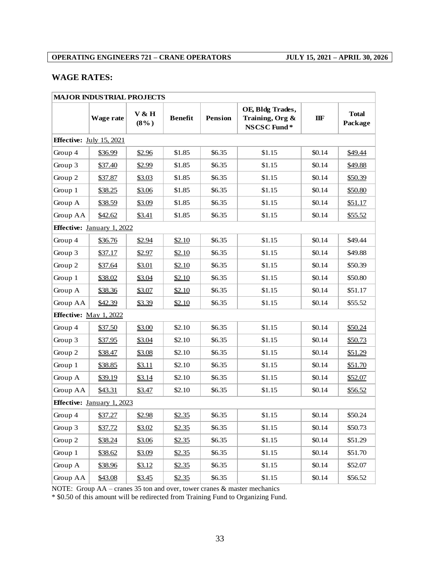## **WAGE RATES:**

|          | <b>MAJOR INDUSTRIAL PROJECTS</b>  |                  |                |                |                                                    |        |                         |  |  |  |
|----------|-----------------------------------|------------------|----------------|----------------|----------------------------------------------------|--------|-------------------------|--|--|--|
|          | Wage rate                         | V & H<br>$(8\%)$ | <b>Benefit</b> | <b>Pension</b> | OE, Bldg Trades,<br>Training, Org &<br>NSCSC Fund* | IIF    | <b>Total</b><br>Package |  |  |  |
|          | <b>Effective:</b> July 15, 2021   |                  |                |                |                                                    |        |                         |  |  |  |
| Group 4  | \$36.99                           | \$2.96           | \$1.85         | \$6.35         | \$1.15                                             | \$0.14 | \$49.44                 |  |  |  |
| Group 3  | \$37.40                           | \$2.99           | \$1.85         | \$6.35         | \$1.15                                             | \$0.14 | \$49.88                 |  |  |  |
| Group 2  | \$37.87                           | \$3.03           | \$1.85         | \$6.35         | \$1.15                                             | \$0.14 | \$50.39                 |  |  |  |
| Group 1  | \$38.25                           | \$3.06           | \$1.85         | \$6.35         | \$1.15                                             | \$0.14 | \$50.80                 |  |  |  |
| Group A  | \$38.59                           | \$3.09           | \$1.85         | \$6.35         | \$1.15                                             | \$0.14 | \$51.17                 |  |  |  |
| Group AA | \$42.62                           | \$3.41           | \$1.85         | \$6.35         | \$1.15                                             | \$0.14 | \$55.52                 |  |  |  |
|          | Effective: January 1, 2022        |                  |                |                |                                                    |        |                         |  |  |  |
| Group 4  | \$36.76                           | \$2.94           | \$2.10         | \$6.35         | \$1.15                                             | \$0.14 | \$49.44                 |  |  |  |
| Group 3  | \$37.17                           | \$2.97           | \$2.10         | \$6.35         | \$1.15                                             | \$0.14 | \$49.88                 |  |  |  |
| Group 2  | \$37.64                           | \$3.01           | \$2.10         | \$6.35         | \$1.15                                             | \$0.14 | \$50.39                 |  |  |  |
| Group 1  | \$38.02                           | \$3.04           | \$2.10         | \$6.35         | \$1.15                                             | \$0.14 | \$50.80                 |  |  |  |
| Group A  | \$38.36                           | \$3.07           | \$2.10         | \$6.35         | \$1.15                                             | \$0.14 | \$51.17                 |  |  |  |
| Group AA | \$42.39                           | \$3.39           | \$2.10         | \$6.35         | \$1.15                                             | \$0.14 | \$55.52                 |  |  |  |
|          | <b>Effective:</b> May 1, 2022     |                  |                |                |                                                    |        |                         |  |  |  |
| Group 4  | \$37.50                           | \$3.00           | \$2.10         | \$6.35         | \$1.15                                             | \$0.14 | \$50.24                 |  |  |  |
| Group 3  | \$37.95                           | \$3.04           | \$2.10         | \$6.35         | \$1.15                                             | \$0.14 | \$50.73                 |  |  |  |
| Group 2  | \$38.47                           | \$3.08           | \$2.10         | \$6.35         | \$1.15                                             | \$0.14 | \$51.29                 |  |  |  |
| Group 1  | \$38.85                           | \$3.11           | \$2.10         | \$6.35         | \$1.15                                             | \$0.14 | \$51.70                 |  |  |  |
| Group A  | \$39.19                           | \$3.14           | \$2.10         | \$6.35         | \$1.15                                             | \$0.14 | \$52.07                 |  |  |  |
| Group AA | \$43.31                           | \$3.47           | \$2.10         | \$6.35         | \$1.15                                             | \$0.14 | \$56.52                 |  |  |  |
|          | <b>Effective:</b> January 1, 2023 |                  |                |                |                                                    |        |                         |  |  |  |
| Group 4  | \$37.27                           | \$2.98           | \$2.35         | \$6.35         | \$1.15                                             | \$0.14 | \$50.24                 |  |  |  |
| Group 3  | \$37.72                           | \$3.02           | \$2.35         | \$6.35         | \$1.15                                             | \$0.14 | \$50.73                 |  |  |  |
| Group 2  | \$38.24                           | \$3.06           | \$2.35         | \$6.35         | \$1.15                                             | \$0.14 | \$51.29                 |  |  |  |
| Group 1  | \$38.62                           | \$3.09           | \$2.35         | \$6.35         | \$1.15                                             | \$0.14 | \$51.70                 |  |  |  |
| Group A  | \$38.96                           | \$3.12           | \$2.35         | \$6.35         | \$1.15                                             | \$0.14 | \$52.07                 |  |  |  |
| Group AA | \$43.08                           | \$3.45           | \$2.35         | \$6.35         | \$1.15                                             | \$0.14 | \$56.52                 |  |  |  |

NOTE: Group AA – cranes 35 ton and over, tower cranes & master mechanics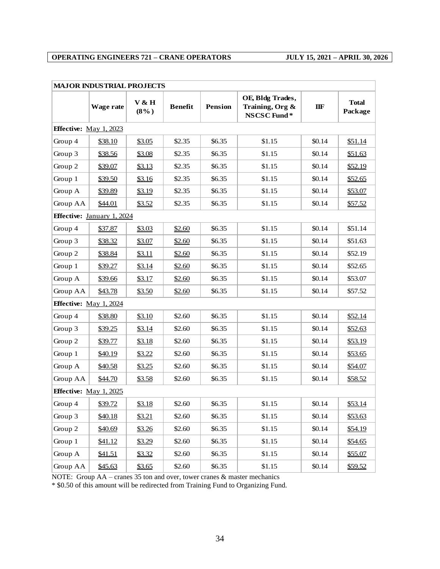| <b>MAJOR INDUSTRIAL PROJECTS</b>  |                               |                  |                |                |                                                    |              |                         |
|-----------------------------------|-------------------------------|------------------|----------------|----------------|----------------------------------------------------|--------------|-------------------------|
|                                   | Wage rate                     | V & H<br>$(8\%)$ | <b>Benefit</b> | <b>Pension</b> | OE, Bldg Trades,<br>Training, Org &<br>NSCSC Fund* | $I\!I\!I\!F$ | <b>Total</b><br>Package |
| <b>Effective:</b> May 1, 2023     |                               |                  |                |                |                                                    |              |                         |
| Group 4                           | \$38.10                       | \$3.05           | \$2.35         | \$6.35         | \$1.15                                             | \$0.14       | \$51.14                 |
| Group 3                           | \$38.56                       | \$3.08           | \$2.35         | \$6.35         | \$1.15                                             | \$0.14       | \$51.63                 |
| Group 2                           | \$39.07                       | \$3.13           | \$2.35         | \$6.35         | \$1.15                                             | \$0.14       | \$52.19                 |
| Group 1                           | \$39.50                       | \$3.16           | \$2.35         | \$6.35         | \$1.15                                             | \$0.14       | \$52.65                 |
| Group A                           | \$39.89                       | \$3.19           | \$2.35         | \$6.35         | \$1.15                                             | \$0.14       | \$53.07                 |
| Group AA                          | \$44.01                       | \$3.52           | \$2.35         | \$6.35         | \$1.15                                             | \$0.14       | \$57.52                 |
| <b>Effective:</b> January 1, 2024 |                               |                  |                |                |                                                    |              |                         |
| Group 4                           | \$37.87                       | \$3.03           | \$2.60         | \$6.35         | \$1.15                                             | \$0.14       | \$51.14                 |
| Group 3                           | \$38.32                       | \$3.07           | \$2.60         | \$6.35         | \$1.15                                             | \$0.14       | \$51.63                 |
| Group 2                           | \$38.84                       | \$3.11           | \$2.60         | \$6.35         | \$1.15                                             | \$0.14       | \$52.19                 |
| Group 1                           | \$39.27                       | \$3.14           | \$2.60         | \$6.35         | \$1.15                                             | \$0.14       | \$52.65                 |
| Group A                           | \$39.66                       | \$3.17           | \$2.60         | \$6.35         | \$1.15                                             | \$0.14       | \$53.07                 |
| Group AA                          | \$43.78                       | \$3.50           | \$2.60         | \$6.35         | \$1.15                                             | \$0.14       | \$57.52                 |
|                                   | <b>Effective:</b> May 1, 2024 |                  |                |                |                                                    |              |                         |
| Group 4                           | \$38.80                       | \$3.10           | \$2.60         | \$6.35         | \$1.15                                             | \$0.14       | \$52.14                 |
| Group 3                           | \$39.25                       | \$3.14           | \$2.60         | \$6.35         | \$1.15                                             | \$0.14       | \$52.63                 |
| Group 2                           | \$39.77                       | \$3.18           | \$2.60         | \$6.35         | \$1.15                                             | \$0.14       | \$53.19                 |
| Group 1                           | \$40.19                       | \$3.22           | \$2.60         | \$6.35         | \$1.15                                             | \$0.14       | \$53.65                 |
| Group A                           | \$40.58                       | \$3.25           | \$2.60         | \$6.35         | \$1.15                                             | \$0.14       | \$54.07                 |
| Group AA                          | \$44.70                       | \$3.58           | \$2.60         | \$6.35         | \$1.15                                             | \$0.14       | \$58.52                 |
| Effective: May 1, 2025            |                               |                  |                |                |                                                    |              |                         |
| Group 4                           | \$39.72                       | \$3.18           | \$2.60         | \$6.35         | \$1.15                                             | \$0.14       | \$53.14                 |
| Group 3                           | \$40.18                       | \$3.21           | \$2.60         | \$6.35         | \$1.15                                             | \$0.14       | \$53.63                 |
| Group 2                           | \$40.69                       | \$3.26           | \$2.60         | \$6.35         | \$1.15                                             | \$0.14       | \$54.19                 |
| Group 1                           | \$41.12                       | \$3.29           | \$2.60         | \$6.35         | \$1.15                                             | \$0.14       | \$54.65                 |
| Group A                           | \$41.51                       | \$3.32           | \$2.60         | \$6.35         | \$1.15                                             | \$0.14       | \$55.07                 |
| Group AA                          | \$45.63                       | \$3.65           | \$2.60         | \$6.35         | \$1.15                                             | \$0.14       | \$59.52                 |

NOTE: Group AA – cranes 35 ton and over, tower cranes & master mechanics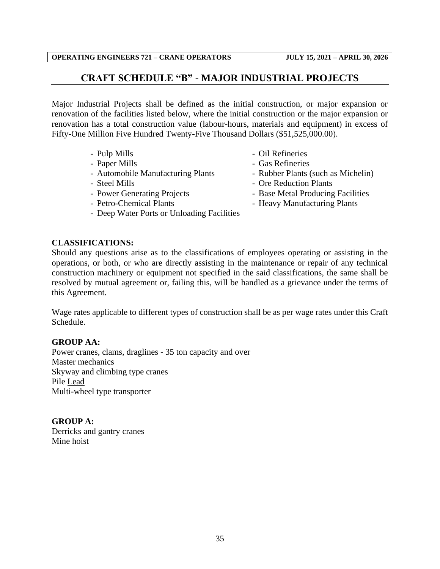## **CRAFT SCHEDULE "B" - MAJOR INDUSTRIAL PROJECTS**

<span id="page-37-0"></span>Major Industrial Projects shall be defined as the initial construction, or major expansion or renovation of the facilities listed below, where the initial construction or the major expansion or renovation has a total construction value (labour-hours, materials and equipment) in excess of Fifty-One Million Five Hundred Twenty-Five Thousand Dollars (\$51,525,000.00).

- 
- 
- Automobile Manufacturing Plants Rubber Plants (such as Michelin)
- 
- 
- 
- Deep Water Ports or Unloading Facilities
- Pulp Mills Oil Refineries
- Paper Mills **Case Refineries** 
	-
- Steel Mills Ore Reduction Plants
- Power Generating Projects Base Metal Producing Facilities
- Petro-Chemical Plants Heavy Manufacturing Plants

## **CLASSIFICATIONS:**

Should any questions arise as to the classifications of employees operating or assisting in the operations, or both, or who are directly assisting in the maintenance or repair of any technical construction machinery or equipment not specified in the said classifications, the same shall be resolved by mutual agreement or, failing this, will be handled as a grievance under the terms of this Agreement.

Wage rates applicable to different types of construction shall be as per wage rates under this Craft Schedule.

## **GROUP AA:**

Power cranes, clams, draglines - 35 ton capacity and over Master mechanics Skyway and climbing type cranes Pile Lead Multi-wheel type transporter

**GROUP A:** Derricks and gantry cranes Mine hoist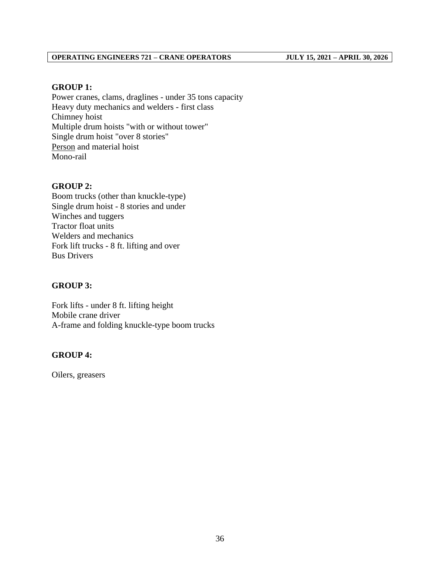### **GROUP 1:**

Power cranes, clams, draglines - under 35 tons capacity Heavy duty mechanics and welders - first class Chimney hoist Multiple drum hoists "with or without tower" Single drum hoist "over 8 stories" Person and material hoist Mono-rail

#### **GROUP 2:**

Boom trucks (other than knuckle-type) Single drum hoist - 8 stories and under Winches and tuggers Tractor float units Welders and mechanics Fork lift trucks - 8 ft. lifting and over Bus Drivers

#### **GROUP 3:**

Fork lifts - under 8 ft. lifting height Mobile crane driver A-frame and folding knuckle-type boom trucks

#### **GROUP 4:**

Oilers, greasers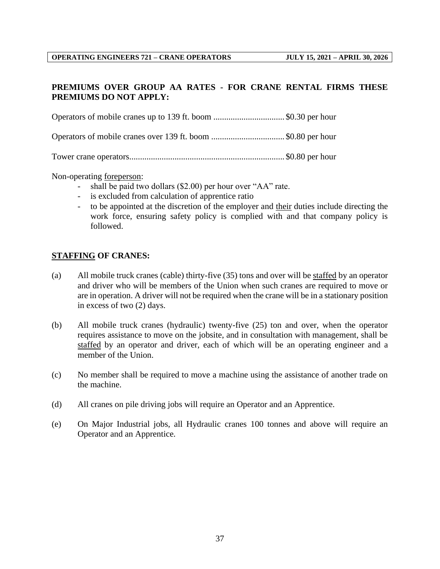## **PREMIUMS OVER GROUP AA RATES - FOR CRANE RENTAL FIRMS THESE PREMIUMS DO NOT APPLY:**

Operators of mobile cranes up to 139 ft. boom ................................. \$0.30 per hour

Operators of mobile cranes over 139 ft. boom .................................. \$0.80 per hour

Tower crane operators........................................................................ \$0.80 per hour

Non-operating foreperson:

- shall be paid two dollars (\$2.00) per hour over "AA" rate.
- is excluded from calculation of apprentice ratio
- to be appointed at the discretion of the employer and their duties include directing the work force, ensuring safety policy is complied with and that company policy is followed.

#### **STAFFING OF CRANES:**

- (a) All mobile truck cranes (cable) thirty-five (35) tons and over will be staffed by an operator and driver who will be members of the Union when such cranes are required to move or are in operation. A driver will not be required when the crane will be in a stationary position in excess of two (2) days.
- (b) All mobile truck cranes (hydraulic) twenty-five (25) ton and over, when the operator requires assistance to move on the jobsite, and in consultation with management, shall be staffed by an operator and driver, each of which will be an operating engineer and a member of the Union.
- (c) No member shall be required to move a machine using the assistance of another trade on the machine.
- (d) All cranes on pile driving jobs will require an Operator and an Apprentice.
- (e) On Major Industrial jobs, all Hydraulic cranes 100 tonnes and above will require an Operator and an Apprentice.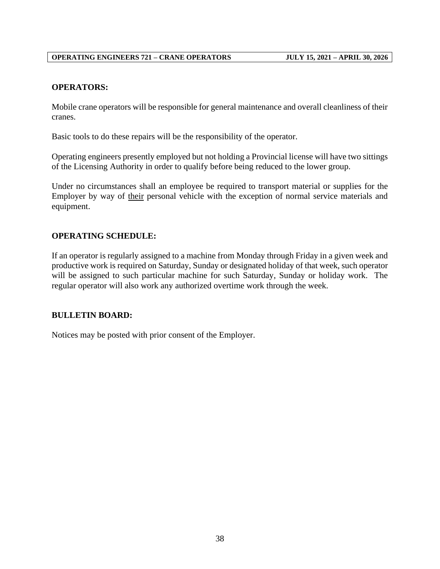#### **OPERATORS:**

Mobile crane operators will be responsible for general maintenance and overall cleanliness of their cranes.

Basic tools to do these repairs will be the responsibility of the operator.

Operating engineers presently employed but not holding a Provincial license will have two sittings of the Licensing Authority in order to qualify before being reduced to the lower group.

Under no circumstances shall an employee be required to transport material or supplies for the Employer by way of their personal vehicle with the exception of normal service materials and equipment.

#### **OPERATING SCHEDULE:**

If an operator is regularly assigned to a machine from Monday through Friday in a given week and productive work is required on Saturday, Sunday or designated holiday of that week, such operator will be assigned to such particular machine for such Saturday, Sunday or holiday work. The regular operator will also work any authorized overtime work through the week.

#### **BULLETIN BOARD:**

Notices may be posted with prior consent of the Employer.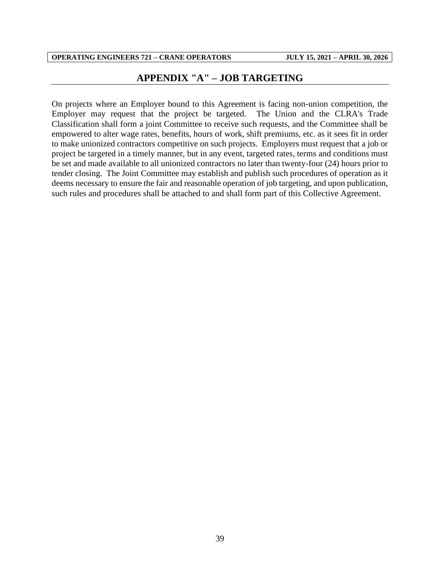## **APPENDIX "A" – JOB TARGETING**

<span id="page-41-0"></span>On projects where an Employer bound to this Agreement is facing non-union competition, the Employer may request that the project be targeted. The Union and the CLRA's Trade Classification shall form a joint Committee to receive such requests, and the Committee shall be empowered to alter wage rates, benefits, hours of work, shift premiums, etc. as it sees fit in order to make unionized contractors competitive on such projects. Employers must request that a job or project be targeted in a timely manner, but in any event, targeted rates, terms and conditions must be set and made available to all unionized contractors no later than twenty-four (24) hours prior to tender closing. The Joint Committee may establish and publish such procedures of operation as it deems necessary to ensure the fair and reasonable operation of job targeting, and upon publication, such rules and procedures shall be attached to and shall form part of this Collective Agreement.